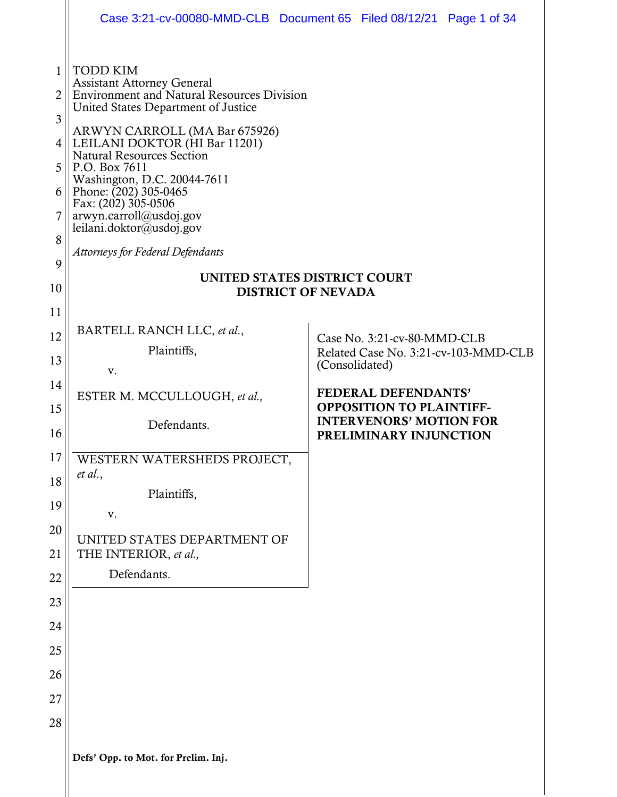|                                                            |                                                                                                                                                                                                                                                                                                                                                                                                                                                            | Case 3:21-cv-00080-MMD-CLB  Document 65  Filed 08/12/21  Page 1 of 34 |
|------------------------------------------------------------|------------------------------------------------------------------------------------------------------------------------------------------------------------------------------------------------------------------------------------------------------------------------------------------------------------------------------------------------------------------------------------------------------------------------------------------------------------|-----------------------------------------------------------------------|
| $\mathbf{1}$<br>2<br>3<br>4<br>5<br>6<br>7<br>8<br>9<br>10 | <b>TODD KIM</b><br><b>Assistant Attorney General</b><br><b>Environment and Natural Resources Division</b><br>United States Department of Justice<br>ARWYN CARROLL (MA Bar 675926)<br>LEILANI DOKTOR (HI Bar 11201)<br><b>Natural Resources Section</b><br>P.O. Box 7611<br>Washington, D.C. 20044-7611<br>Phone: $(202)$ 305-0465<br>Fax: (202) 305-0506<br>arwyn.carroll@usdoj.gov<br>leilani.doktor@usdoj.gov<br><b>Attorneys for Federal Defendants</b> | UNITED STATES DISTRICT COURT<br><b>DISTRICT OF NEVADA</b>             |
| 11                                                         |                                                                                                                                                                                                                                                                                                                                                                                                                                                            |                                                                       |
| 12                                                         | BARTELL RANCH LLC, et al.,<br>Plaintiffs,                                                                                                                                                                                                                                                                                                                                                                                                                  | Case No. 3:21-cv-80-MMD-CLB                                           |
| 13                                                         | V.                                                                                                                                                                                                                                                                                                                                                                                                                                                         | Related Case No. 3:21-cv-103-MMD-CLB<br>(Consolidated)                |
| 14                                                         | ESTER M. MCCULLOUGH, et al.,                                                                                                                                                                                                                                                                                                                                                                                                                               | FEDERAL DEFENDANTS'                                                   |
| 15                                                         | Defendants.                                                                                                                                                                                                                                                                                                                                                                                                                                                | <b>OPPOSITION TO PLAINTIFF-</b><br><b>INTERVENORS' MOTION FOR</b>     |
| 16                                                         |                                                                                                                                                                                                                                                                                                                                                                                                                                                            | PRELIMINARY INJUNCTION                                                |
| 17                                                         | WESTERN WATERSHEDS PROJECT,<br>et al.,                                                                                                                                                                                                                                                                                                                                                                                                                     |                                                                       |
| 18                                                         | Plaintiffs,                                                                                                                                                                                                                                                                                                                                                                                                                                                |                                                                       |
| 19                                                         | V.                                                                                                                                                                                                                                                                                                                                                                                                                                                         |                                                                       |
| 20                                                         | UNITED STATES DEPARTMENT OF                                                                                                                                                                                                                                                                                                                                                                                                                                |                                                                       |
| 21<br>22                                                   | THE INTERIOR, et al.,<br>Defendants.                                                                                                                                                                                                                                                                                                                                                                                                                       |                                                                       |
| 23                                                         |                                                                                                                                                                                                                                                                                                                                                                                                                                                            |                                                                       |
| 24                                                         |                                                                                                                                                                                                                                                                                                                                                                                                                                                            |                                                                       |
| 25                                                         |                                                                                                                                                                                                                                                                                                                                                                                                                                                            |                                                                       |
| 26                                                         |                                                                                                                                                                                                                                                                                                                                                                                                                                                            |                                                                       |
| 27                                                         |                                                                                                                                                                                                                                                                                                                                                                                                                                                            |                                                                       |
| 28                                                         |                                                                                                                                                                                                                                                                                                                                                                                                                                                            |                                                                       |
|                                                            | Defs' Opp. to Mot. for Prelim. Inj.                                                                                                                                                                                                                                                                                                                                                                                                                        |                                                                       |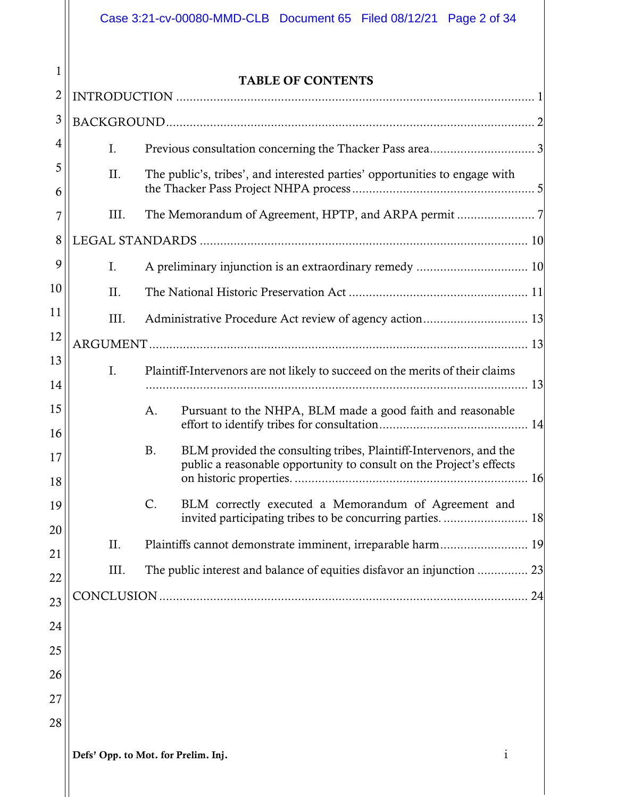|          |                                                                                    | Case 3:21-cv-00080-MMD-CLB  Document 65  Filed 08/12/21  Page 2 of 34                                                                          |  |  |  |  |
|----------|------------------------------------------------------------------------------------|------------------------------------------------------------------------------------------------------------------------------------------------|--|--|--|--|
| 1        |                                                                                    | <b>TABLE OF CONTENTS</b>                                                                                                                       |  |  |  |  |
| 2        |                                                                                    |                                                                                                                                                |  |  |  |  |
| 3        |                                                                                    |                                                                                                                                                |  |  |  |  |
| 4        | $I_{\cdot}$                                                                        |                                                                                                                                                |  |  |  |  |
| 5<br>6   | II.<br>The public's, tribes', and interested parties' opportunities to engage with |                                                                                                                                                |  |  |  |  |
| 7        | III.                                                                               |                                                                                                                                                |  |  |  |  |
| 8        |                                                                                    |                                                                                                                                                |  |  |  |  |
| 9        | I.                                                                                 |                                                                                                                                                |  |  |  |  |
| 10       | II.                                                                                |                                                                                                                                                |  |  |  |  |
| 11       | III.                                                                               |                                                                                                                                                |  |  |  |  |
| 12       |                                                                                    |                                                                                                                                                |  |  |  |  |
| 13       | $\mathbf{I}$ .                                                                     | Plaintiff-Intervenors are not likely to succeed on the merits of their claims                                                                  |  |  |  |  |
| 14       |                                                                                    |                                                                                                                                                |  |  |  |  |
| 15<br>16 |                                                                                    | Pursuant to the NHPA, BLM made a good faith and reasonable<br>A.                                                                               |  |  |  |  |
| 17<br>18 |                                                                                    | BLM provided the consulting tribes, Plaintiff-Intervenors, and the<br>B<br>public a reasonable opportunity to consult on the Project's effects |  |  |  |  |
| 19       |                                                                                    | C.<br>BLM correctly executed a Memorandum of Agreement and                                                                                     |  |  |  |  |
| 20       |                                                                                    |                                                                                                                                                |  |  |  |  |
| 21       | Π.                                                                                 |                                                                                                                                                |  |  |  |  |
| 22       | Ш.                                                                                 |                                                                                                                                                |  |  |  |  |
| 23       |                                                                                    |                                                                                                                                                |  |  |  |  |
| 24       |                                                                                    |                                                                                                                                                |  |  |  |  |
| 25       |                                                                                    |                                                                                                                                                |  |  |  |  |
| 26       |                                                                                    |                                                                                                                                                |  |  |  |  |
| 27       |                                                                                    |                                                                                                                                                |  |  |  |  |
| 28       |                                                                                    |                                                                                                                                                |  |  |  |  |
|          |                                                                                    | $\mathbf{i}$<br>Defs' Opp. to Mot. for Prelim. Inj.                                                                                            |  |  |  |  |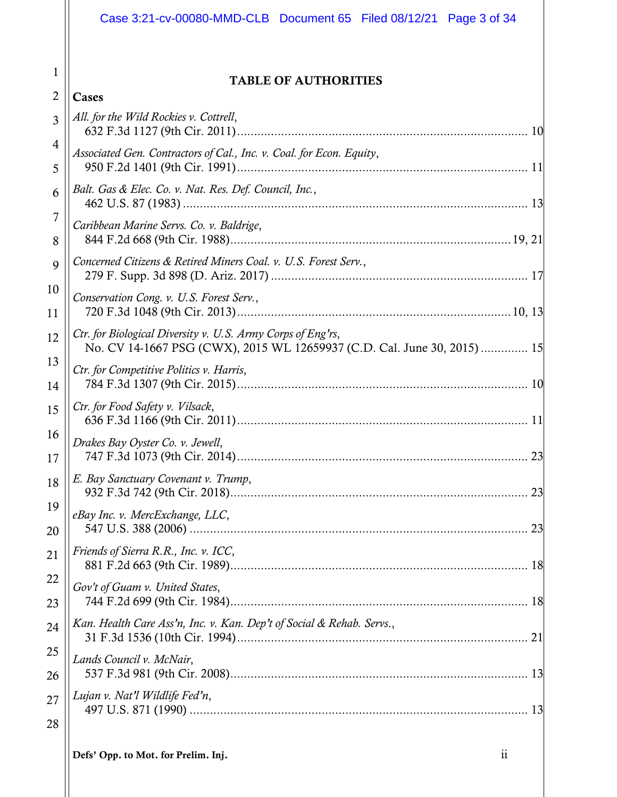|                | Case 3:21-cv-00080-MMD-CLB  Document 65  Filed 08/12/21  Page 3 of 34                                                                   |
|----------------|-----------------------------------------------------------------------------------------------------------------------------------------|
| 1              | <b>TABLE OF AUTHORITIES</b>                                                                                                             |
| $\overline{2}$ | Cases                                                                                                                                   |
| 3              | All. for the Wild Rockies v. Cottrell,                                                                                                  |
| 4              | Associated Gen. Contractors of Cal., Inc. v. Coal. for Econ. Equity,                                                                    |
| 5              |                                                                                                                                         |
| 6              | Balt. Gas & Elec. Co. v. Nat. Res. Def. Council, Inc.,                                                                                  |
| 7              | Caribbean Marine Servs. Co. v. Baldrige,                                                                                                |
| 8              |                                                                                                                                         |
| 9              | Concerned Citizens & Retired Miners Coal. v. U.S. Forest Serv.,                                                                         |
| 10<br>11       | Conservation Cong. v. U.S. Forest Serv.,                                                                                                |
| 12             | Ctr. for Biological Diversity v. U.S. Army Corps of Eng'rs,<br>No. CV 14-1667 PSG (CWX), 2015 WL 12659937 (C.D. Cal. June 30, 2015)  15 |
| 13<br>14       | Ctr. for Competitive Politics v. Harris,                                                                                                |
| 15             | Ctr. for Food Safety v. Vilsack,                                                                                                        |
| 16<br>17       | Drakes Bay Oyster Co. v. Jewell,                                                                                                        |
| 18             | E. Bay Sanctuary Covenant v. Trump,                                                                                                     |
| 19             | eBay Inc. v. MercExchange, LLC,                                                                                                         |
| 20             |                                                                                                                                         |
| 21             | Friends of Sierra R.R., Inc. v. ICC,                                                                                                    |
| 22             | Gov't of Guam v. United States,                                                                                                         |
| 23             |                                                                                                                                         |
| 24             | Kan. Health Care Ass'n, Inc. v. Kan. Dep't of Social & Rehab. Servs.,                                                                   |
| 25             | Lands Council v. McNair,                                                                                                                |
| 26             |                                                                                                                                         |
| 27             | Lujan v. Nat'l Wildlife Fed'n,                                                                                                          |
| 28             |                                                                                                                                         |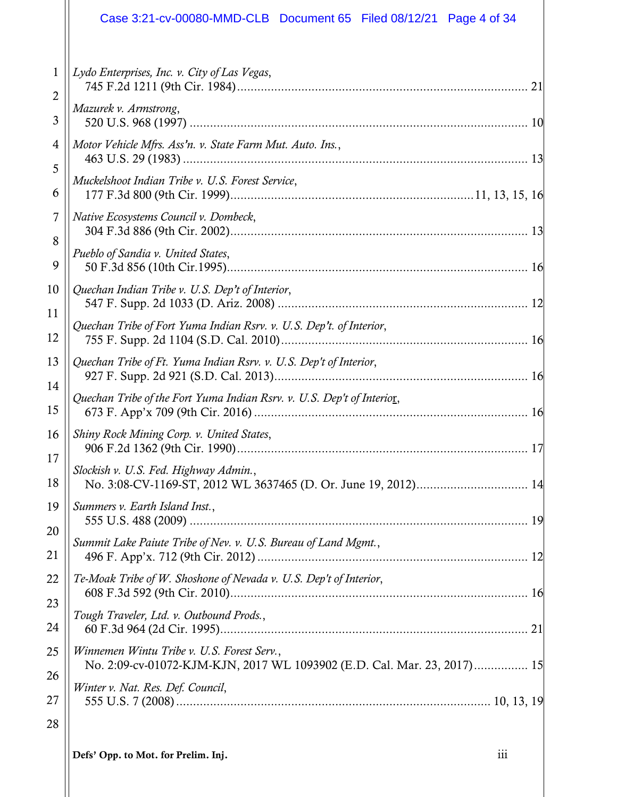# Case 3:21-cv-00080-MMD-CLB Document 65 Filed 08/12/21 Page 4 of 34

| $\mathbf{1}$<br>2 | Lydo Enterprises, Inc. v. City of Las Vegas,<br>21                                                                    |
|-------------------|-----------------------------------------------------------------------------------------------------------------------|
| 3                 | Mazurek v. Armstrong,                                                                                                 |
| 4<br>5            | Motor Vehicle Mfrs. Ass'n. v. State Farm Mut. Auto. Ins.,                                                             |
| 6                 | Muckelshoot Indian Tribe v. U.S. Forest Service,                                                                      |
| 7                 | Native Ecosystems Council v. Dombeck,                                                                                 |
| 8<br>9            | Pueblo of Sandia v. United States,                                                                                    |
| 10                | Quechan Indian Tribe v. U.S. Dep't of Interior,                                                                       |
| 11<br>12          | Quechan Tribe of Fort Yuma Indian Rsrv. v. U.S. Dep't. of Interior,                                                   |
| 13                | Quechan Tribe of Ft. Yuma Indian Rsrv. v. U.S. Dep't of Interior,                                                     |
| 14<br>15          | Ouechan Tribe of the Fort Yuma Indian Rsrv. v. U.S. Dep't of Interior,                                                |
| 16                | Shiny Rock Mining Corp. v. United States,                                                                             |
| 17<br>18          | Slockish v. U.S. Fed. Highway Admin.,                                                                                 |
| 19                | Summers v. Earth Island Inst.,                                                                                        |
| 20<br>21          | Summit Lake Paiute Tribe of Nev. v. U.S. Bureau of Land Mgmt.,                                                        |
| 22                | Te-Moak Tribe of W. Shoshone of Nevada v. U.S. Dep't of Interior,                                                     |
| 23<br>24          | Tough Traveler, Ltd. v. Outbound Prods.,                                                                              |
| 25                | Winnemen Wintu Tribe v. U.S. Forest Serv.,<br>No. 2:09-cv-01072-KJM-KJN, 2017 WL 1093902 (E.D. Cal. Mar. 23, 2017) 15 |
| 26<br>27          | Winter v. Nat. Res. Def. Council,                                                                                     |
| 28                |                                                                                                                       |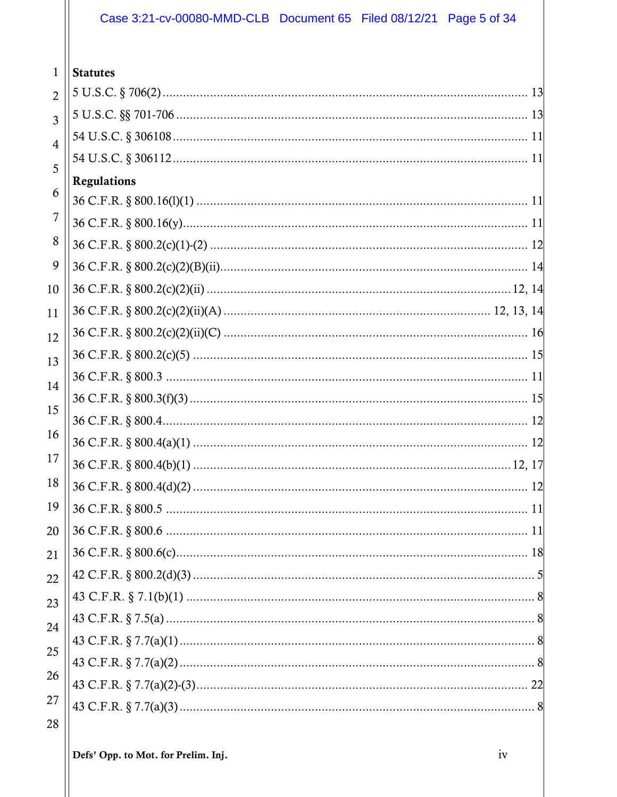# Case 3:21-cv-00080-MMD-CLB Document 65 Filed 08/12/21 Page 5 of 34

| 1              | <b>Statutes</b>    |  |
|----------------|--------------------|--|
| $\overline{2}$ |                    |  |
| $\overline{3}$ |                    |  |
| $\overline{4}$ |                    |  |
| 5              |                    |  |
| 6              | <b>Regulations</b> |  |
|                |                    |  |
| 7              |                    |  |
| 8              |                    |  |
| 9              |                    |  |
| 10             |                    |  |
| 11             |                    |  |
| 12             |                    |  |
| 13             |                    |  |
| 14             |                    |  |
| 15             |                    |  |
|                |                    |  |
| 16             |                    |  |
| 17             |                    |  |
| 18             |                    |  |
|                |                    |  |
| 20             |                    |  |
| 21             |                    |  |
| 22             |                    |  |
| 23             |                    |  |
| 24             |                    |  |
| 25             |                    |  |
|                |                    |  |
| 26             |                    |  |
| 27             |                    |  |
|                |                    |  |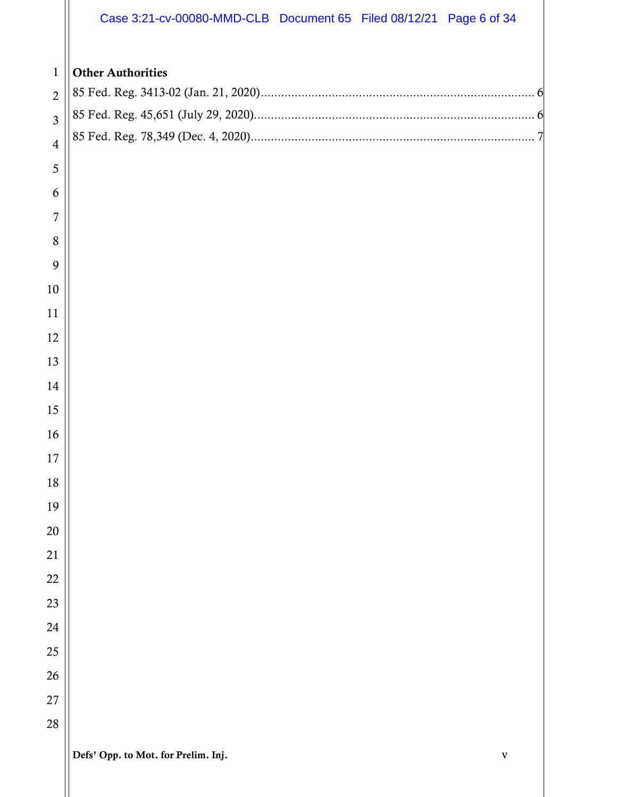|                | Case 3:21-cv-00080-MMD-CLB Document 65 Filed 08/12/21 Page 6 of 34 |  |             |
|----------------|--------------------------------------------------------------------|--|-------------|
|                |                                                                    |  |             |
| $\mathbf{1}$   | <b>Other Authorities</b>                                           |  |             |
| $\overline{2}$ |                                                                    |  |             |
| $\overline{3}$ |                                                                    |  |             |
| $\overline{4}$ |                                                                    |  |             |
| 5              |                                                                    |  |             |
| 6              |                                                                    |  |             |
| 7              |                                                                    |  |             |
| 8              |                                                                    |  |             |
| 9              |                                                                    |  |             |
| 10             |                                                                    |  |             |
| 11             |                                                                    |  |             |
| 12             |                                                                    |  |             |
| 13             |                                                                    |  |             |
| 14             |                                                                    |  |             |
| 15             |                                                                    |  |             |
| 16             |                                                                    |  |             |
| 17             |                                                                    |  |             |
| 18             |                                                                    |  |             |
| 19             |                                                                    |  |             |
| 20             |                                                                    |  |             |
| 21             |                                                                    |  |             |
| 22             |                                                                    |  |             |
| 23             |                                                                    |  |             |
| 24             |                                                                    |  |             |
| 25             |                                                                    |  |             |
| 26             |                                                                    |  |             |
| 27             |                                                                    |  |             |
| 28             |                                                                    |  |             |
|                | Defs' Opp. to Mot. for Prelim. Inj.                                |  | $\mathbf V$ |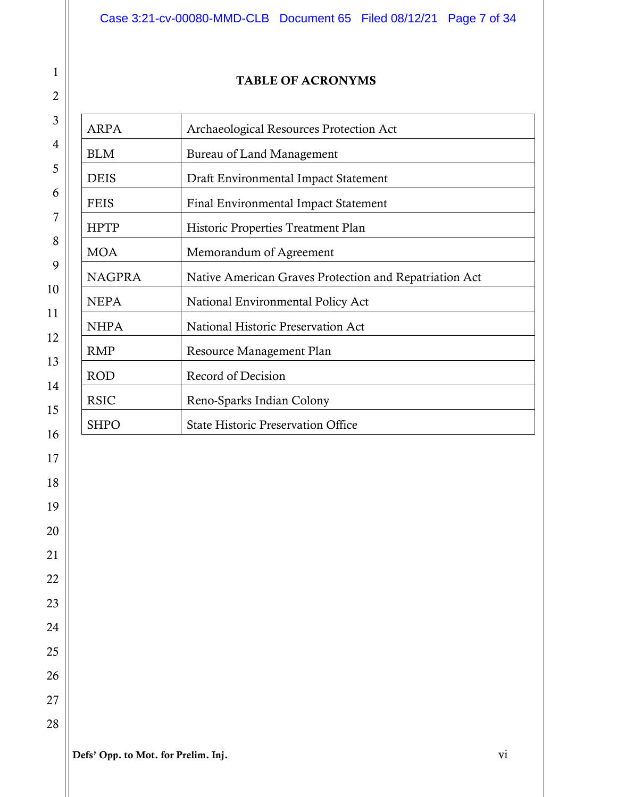# Case 3:21-cv-00080-MMD-CLB Document 65 Filed 08/12/21 Page 7 of 34

#### TABLE OF ACRONYMS

| <b>ARPA</b>   | Archaeological Resources Protection Act                |  |  |
|---------------|--------------------------------------------------------|--|--|
| <b>BLM</b>    | <b>Bureau of Land Management</b>                       |  |  |
| <b>DEIS</b>   | Draft Environmental Impact Statement                   |  |  |
| <b>FEIS</b>   | Final Environmental Impact Statement                   |  |  |
| <b>HPTP</b>   | Historic Properties Treatment Plan                     |  |  |
| <b>MOA</b>    | Memorandum of Agreement                                |  |  |
| <b>NAGPRA</b> | Native American Graves Protection and Repatriation Act |  |  |
| <b>NEPA</b>   | National Environmental Policy Act                      |  |  |
| <b>NHPA</b>   | National Historic Preservation Act                     |  |  |
| <b>RMP</b>    | Resource Management Plan                               |  |  |
| <b>ROD</b>    | Record of Decision                                     |  |  |
| <b>RSIC</b>   | Reno-Sparks Indian Colony                              |  |  |
| <b>SHPO</b>   | <b>State Historic Preservation Office</b>              |  |  |

Defs' Opp. to Mot. for Prelim. Inj. vi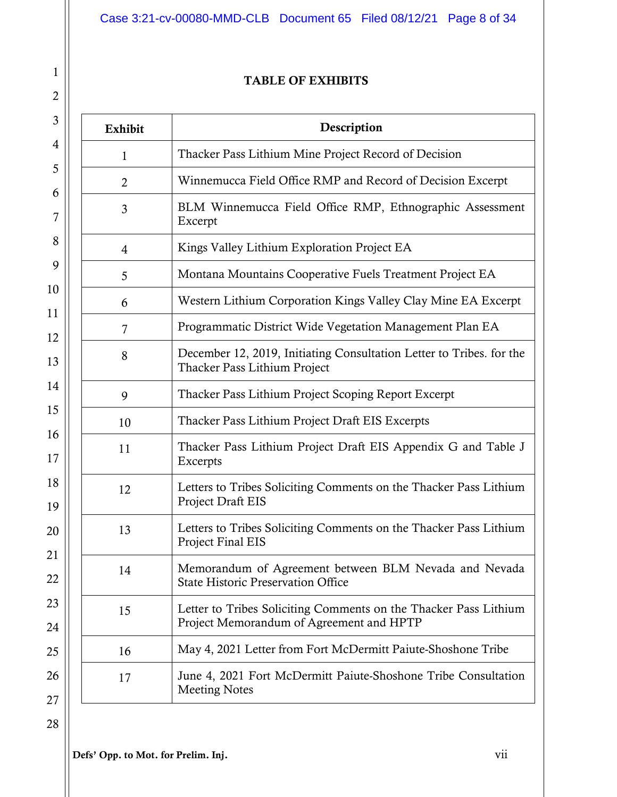# Case 3:21-cv-00080-MMD-CLB Document 65 Filed 08/12/21 Page 8 of 34

#### TABLE OF EXHIBITS

| <b>Exhibit</b> | Description                                                                                                  |  |  |
|----------------|--------------------------------------------------------------------------------------------------------------|--|--|
| 1              | Thacker Pass Lithium Mine Project Record of Decision                                                         |  |  |
| $\overline{2}$ | Winnemucca Field Office RMP and Record of Decision Excerpt                                                   |  |  |
| 3              | BLM Winnemucca Field Office RMP, Ethnographic Assessment<br>Excerpt                                          |  |  |
| $\overline{4}$ | Kings Valley Lithium Exploration Project EA                                                                  |  |  |
| 5              | Montana Mountains Cooperative Fuels Treatment Project EA                                                     |  |  |
| 6              | Western Lithium Corporation Kings Valley Clay Mine EA Excerpt                                                |  |  |
| 7              | Programmatic District Wide Vegetation Management Plan EA                                                     |  |  |
| 8              | December 12, 2019, Initiating Consultation Letter to Tribes. for the<br>Thacker Pass Lithium Project         |  |  |
| 9              | Thacker Pass Lithium Project Scoping Report Excerpt                                                          |  |  |
| 10             | Thacker Pass Lithium Project Draft EIS Excerpts                                                              |  |  |
| 11             | Thacker Pass Lithium Project Draft EIS Appendix G and Table J<br>Excerpts                                    |  |  |
| 12             | Letters to Tribes Soliciting Comments on the Thacker Pass Lithium<br>Project Draft EIS                       |  |  |
| 13             | Letters to Tribes Soliciting Comments on the Thacker Pass Lithium<br>Project Final EIS                       |  |  |
| 14             | Memorandum of Agreement between BLM Nevada and Nevada<br><b>State Historic Preservation Office</b>           |  |  |
| 15             | Letter to Tribes Soliciting Comments on the Thacker Pass Lithium<br>Project Memorandum of Agreement and HPTP |  |  |
| 16             | May 4, 2021 Letter from Fort McDermitt Paiute-Shoshone Tribe                                                 |  |  |
| 17             | June 4, 2021 Fort McDermitt Paiute-Shoshone Tribe Consultation<br><b>Meeting Notes</b>                       |  |  |

Defs' Opp. to Mot. for Prelim. Inj. vii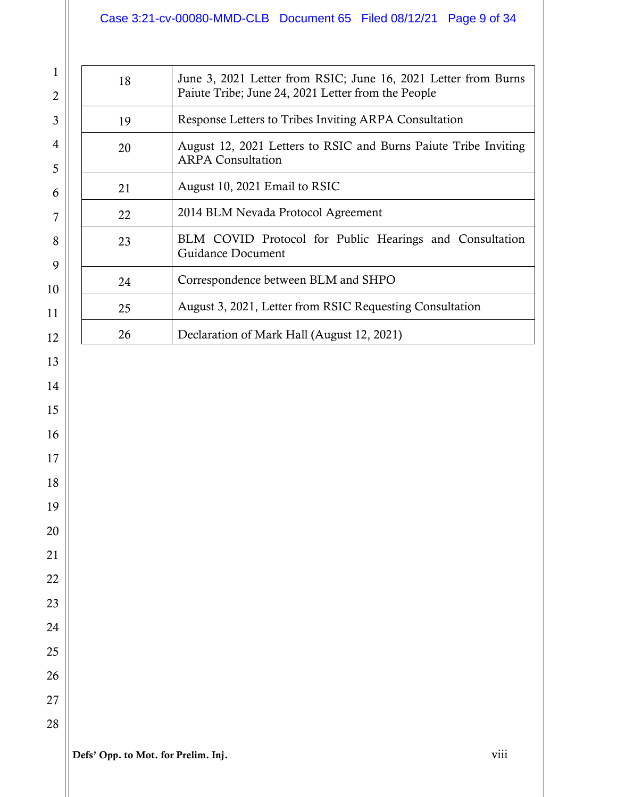# Case 3:21-cv-00080-MMD-CLB Document 65 Filed 08/12/21 Page 9 of 34

| 18 | June 3, 2021 Letter from RSIC; June 16, 2021 Letter from Burns<br>Paiute Tribe; June 24, 2021 Letter from the People |  |
|----|----------------------------------------------------------------------------------------------------------------------|--|
| 19 | Response Letters to Tribes Inviting ARPA Consultation                                                                |  |
| 20 | August 12, 2021 Letters to RSIC and Burns Paiute Tribe Inviting<br><b>ARPA Consultation</b>                          |  |
| 21 | August 10, 2021 Email to RSIC                                                                                        |  |
| 22 | 2014 BLM Nevada Protocol Agreement                                                                                   |  |
| 23 | BLM COVID Protocol for Public Hearings and Consultation<br>Guidance Document                                         |  |
| 24 | Correspondence between BLM and SHPO                                                                                  |  |
| 25 | August 3, 2021, Letter from RSIC Requesting Consultation                                                             |  |
| 26 | Declaration of Mark Hall (August 12, 2021)                                                                           |  |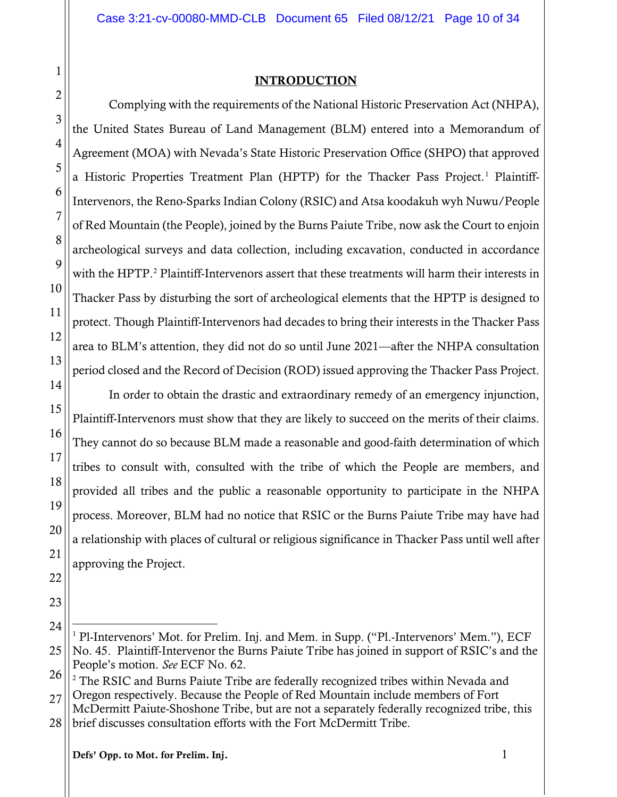#### INTRODUCTION

Complying with the requirements of the National Historic Preservation Act (NHPA), the United States Bureau of Land Management (BLM) entered into a Memorandum of Agreement (MOA) with Nevada's State Historic Preservation Office (SHPO) that approved a Historic Properties Treatment Plan (HPTP) for the Thacker Pass Project. [1](#page-9-0) Plaintiff-Intervenors, the Reno-Sparks Indian Colony (RSIC) and Atsa koodakuh wyh Nuwu/People of Red Mountain (the People), joined by the Burns Paiute Tribe, now ask the Court to enjoin archeological surveys and data collection, including excavation, conducted in accordance with the HPTP. [2](#page-9-1) Plaintiff-Intervenors assert that these treatments will harm their interests in Thacker Pass by disturbing the sort of archeological elements that the HPTP is designed to protect. Though Plaintiff-Intervenors had decades to bring their interests in the Thacker Pass area to BLM's attention, they did not do so until June 2021—after the NHPA consultation period closed and the Record of Decision (ROD) issued approving the Thacker Pass Project.

In order to obtain the drastic and extraordinary remedy of an emergency injunction, Plaintiff-Intervenors must show that they are likely to succeed on the merits of their claims. They cannot do so because BLM made a reasonable and good-faith determination of which tribes to consult with, consulted with the tribe of which the People are members, and provided all tribes and the public a reasonable opportunity to participate in the NHPA process. Moreover, BLM had no notice that RSIC or the Burns Paiute Tribe may have had a relationship with places of cultural or religious significance in Thacker Pass until well after approving the Project.

<span id="page-9-1"></span>27 <sup>2</sup> The RSIC and Burns Paiute Tribe are federally recognized tribes within Nevada and Oregon respectively. Because the People of Red Mountain include members of Fort McDermitt Paiute-Shoshone Tribe, but are not a separately federally recognized tribe, this

1

2

3

4

5

6

7

<span id="page-9-0"></span><sup>25</sup>  $\overline{a}$  $1$  Pl-Intervenors' Mot. for Prelim. Inj. and Mem. in Supp. ("Pl.-Intervenors' Mem."), ECF No. 45. Plaintiff-Intervenor the Burns Paiute Tribe has joined in support of RSIC's and the People's motion. *See* ECF No. 62.

<sup>28</sup> brief discusses consultation efforts with the Fort McDermitt Tribe.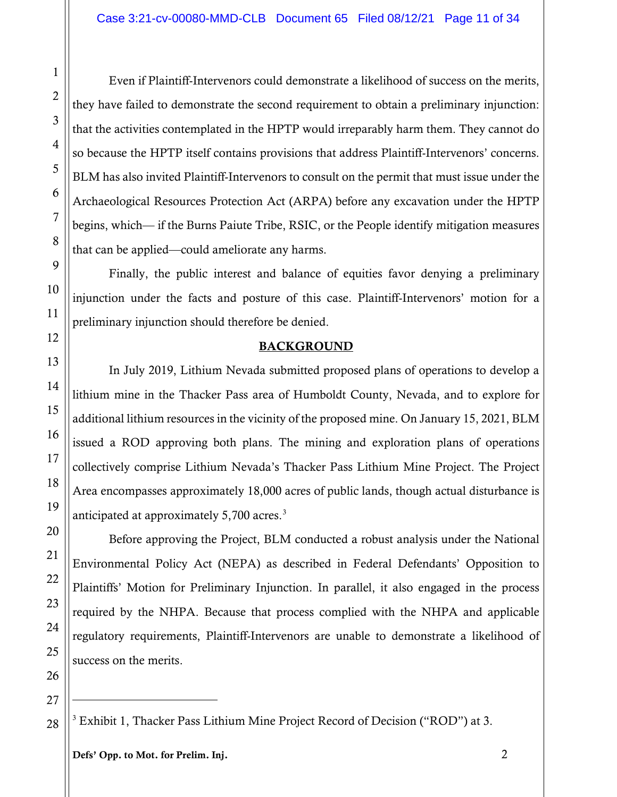Even if Plaintiff-Intervenors could demonstrate a likelihood of success on the merits, they have failed to demonstrate the second requirement to obtain a preliminary injunction: that the activities contemplated in the HPTP would irreparably harm them. They cannot do so because the HPTP itself contains provisions that address Plaintiff-Intervenors' concerns. BLM has also invited Plaintiff-Intervenors to consult on the permit that must issue under the Archaeological Resources Protection Act (ARPA) before any excavation under the HPTP begins, which— if the Burns Paiute Tribe, RSIC, or the People identify mitigation measures that can be applied—could ameliorate any harms.

Finally, the public interest and balance of equities favor denying a preliminary injunction under the facts and posture of this case. Plaintiff-Intervenors' motion for a preliminary injunction should therefore be denied.

#### **BACKGROUND**

In July 2019, Lithium Nevada submitted proposed plans of operations to develop a lithium mine in the Thacker Pass area of Humboldt County, Nevada, and to explore for additional lithium resources in the vicinity of the proposed mine. On January 15, 2021, BLM issued a ROD approving both plans. The mining and exploration plans of operations collectively comprise Lithium Nevada's Thacker Pass Lithium Mine Project. The Project Area encompasses approximately 18,000 acres of public lands, though actual disturbance is anticipated at approximately 5,700 acres.<sup>[3](#page-10-0)</sup>

Before approving the Project, BLM conducted a robust analysis under the National Environmental Policy Act (NEPA) as described in Federal Defendants' Opposition to Plaintiffs' Motion for Preliminary Injunction. In parallel, it also engaged in the process required by the NHPA. Because that process complied with the NHPA and applicable regulatory requirements, Plaintiff-Intervenors are unable to demonstrate a likelihood of success on the merits.

 $\overline{a}$ 

1

2

3

4

5

6

7

8

9

10

11

12

13

14

15

16

17

18

<span id="page-10-0"></span><sup>28</sup> <sup>3</sup> Exhibit 1, Thacker Pass Lithium Mine Project Record of Decision ("ROD") at 3.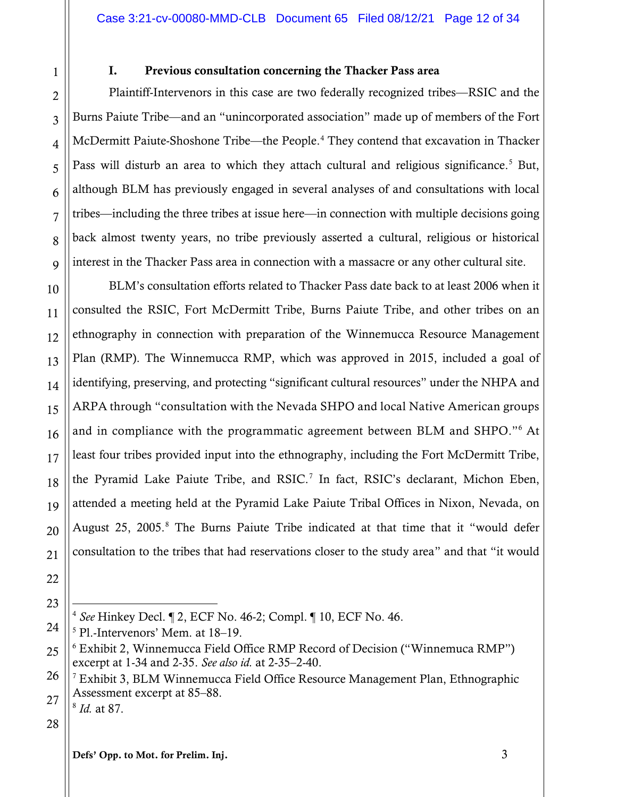8

9

10

11

12

13

14

15

16

#### I. Previous consultation concerning the Thacker Pass area

Plaintiff-Intervenors in this case are two federally recognized tribes—RSIC and the Burns Paiute Tribe—and an "unincorporated association" made up of members of the Fort McDermitt Paiute-Shoshone Tribe—the People.<sup>[4](#page-11-0)</sup> They contend that excavation in Thacker Pass will disturb an area to which they attach cultural and religious significance.<sup>[5](#page-11-1)</sup> But, although BLM has previously engaged in several analyses of and consultations with local tribes—including the three tribes at issue here—in connection with multiple decisions going back almost twenty years, no tribe previously asserted a cultural, religious or historical interest in the Thacker Pass area in connection with a massacre or any other cultural site.

BLM's consultation efforts related to Thacker Pass date back to at least 2006 when it consulted the RSIC, Fort McDermitt Tribe, Burns Paiute Tribe, and other tribes on an ethnography in connection with preparation of the Winnemucca Resource Management Plan (RMP). The Winnemucca RMP, which was approved in 2015, included a goal of identifying, preserving, and protecting "significant cultural resources" under the NHPA and ARPA through "consultation with the Nevada SHPO and local Native American groups and in compliance with the programmatic agreement between BLM and SHPO."[6](#page-11-2) At least four tribes provided input into the ethnography, including the Fort McDermitt Tribe, the Pyramid Lake Paiute Tribe, and RSIC. [7](#page-11-3) In fact, RSIC's declarant, Michon Eben, attended a meeting held at the Pyramid Lake Paiute Tribal Offices in Nixon, Nevada, on August 25, 2005. [8](#page-11-4) The Burns Paiute Tribe indicated at that time that it "would defer consultation to the tribes that had reservations closer to the study area" and that "it would

<span id="page-11-3"></span><span id="page-11-2"></span>27 <sup>7</sup> Exhibit 3, BLM Winnemucca Field Office Resource Management Plan, Ethnographic Assessment excerpt at 85–88. <sup>8</sup> *Id.* at 87.

# <span id="page-11-4"></span>28

Defs' Opp. to Mot. for Prelim. Inj. 3

 $\overline{a}$ <sup>4</sup> *See* Hinkey Decl. ¶ 2, ECF No. 46-2; Compl. ¶ 10, ECF No. 46.

<span id="page-11-1"></span><span id="page-11-0"></span><sup>5</sup> Pl.-Intervenors' Mem. at 18–19.

<sup>6</sup> Exhibit 2, Winnemucca Field Office RMP Record of Decision ("Winnemuca RMP") excerpt at 1-34 and 2-35. *See also id.* at 2-35–2-40.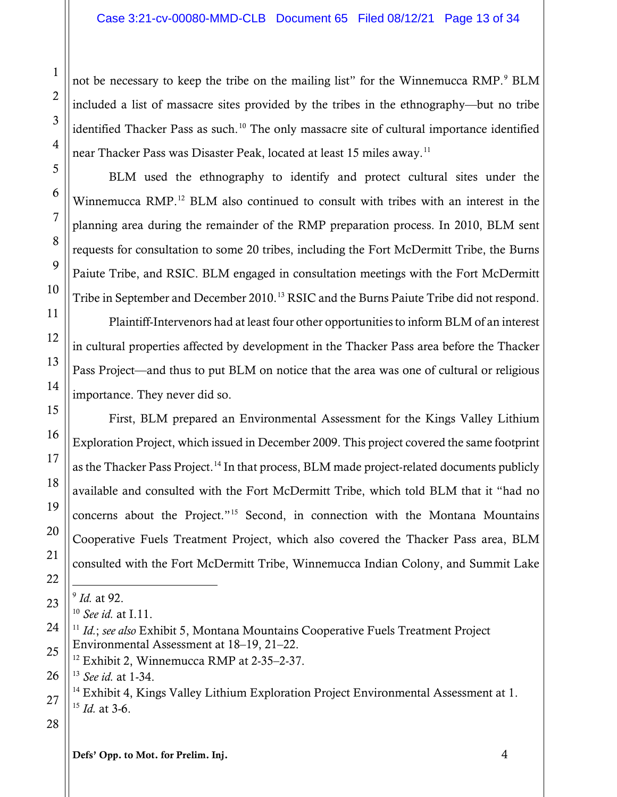not be necessary to keep the tribe on the mailing list" for the Winnemucca RMP.<sup>[9](#page-12-0)</sup> BLM included a list of massacre sites provided by the tribes in the ethnography—but no tribe identified Thacker Pass as such.<sup>[10](#page-12-1)</sup> The only massacre site of cultural importance identified near Thacker Pass was Disaster Peak, located at least 15 miles away.<sup>[11](#page-12-2)</sup>

BLM used the ethnography to identify and protect cultural sites under the Winnemucca RMP.<sup>[12](#page-12-3)</sup> BLM also continued to consult with tribes with an interest in the planning area during the remainder of the RMP preparation process. In 2010, BLM sent requests for consultation to some 20 tribes, including the Fort McDermitt Tribe, the Burns Paiute Tribe, and RSIC. BLM engaged in consultation meetings with the Fort McDermitt Tribe in September and December 2010.<sup>[13](#page-12-4)</sup> RSIC and the Burns Paiute Tribe did not respond.

Plaintiff-Intervenors had at least four other opportunities to inform BLM of an interest in cultural properties affected by development in the Thacker Pass area before the Thacker Pass Project—and thus to put BLM on notice that the area was one of cultural or religious importance. They never did so.

First, BLM prepared an Environmental Assessment for the Kings Valley Lithium Exploration Project, which issued in December 2009. This project covered the same footprint as the Thacker Pass Project.<sup>[14](#page-12-5)</sup> In that process, BLM made project-related documents publicly available and consulted with the Fort McDermitt Tribe, which told BLM that it "had no concerns about the Project."[15](#page-12-6) Second, in connection with the Montana Mountains Cooperative Fuels Treatment Project, which also covered the Thacker Pass area, BLM consulted with the Fort McDermitt Tribe, Winnemucca Indian Colony, and Summit Lake

### <span id="page-12-6"></span><span id="page-12-5"></span>28

Defs' Opp. to Mot. for Prelim. Inj. 4

<span id="page-12-0"></span> $\overline{a}$ <sup>9</sup> *Id.* at 92.

<sup>10</sup> *See id.* at I.11.

<span id="page-12-2"></span><span id="page-12-1"></span><sup>11</sup> *Id.*; *see also* Exhibit 5, Montana Mountains Cooperative Fuels Treatment Project Environmental Assessment at 18–19, 21–22.

 $12$  Exhibit 2, Winnemucca RMP at 2-35–2-37.

<span id="page-12-4"></span><span id="page-12-3"></span><sup>13</sup> *See id.* at 1-34.

 $14$  Exhibit 4, Kings Valley Lithium Exploration Project Environmental Assessment at 1. <sup>15</sup> *Id.* at 3-6.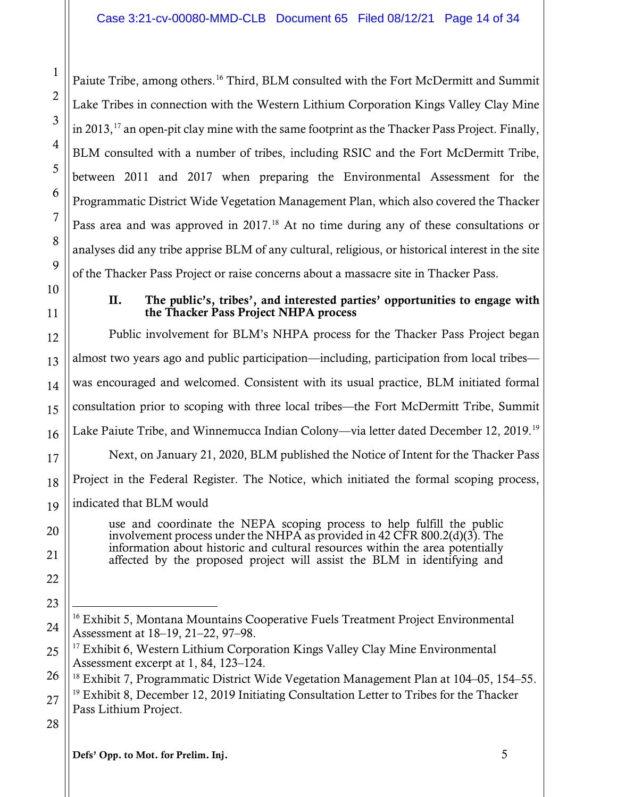Paiute Tribe, among others.<sup>[16](#page-13-0)</sup> Third, BLM consulted with the Fort McDermitt and Summit Lake Tribes in connection with the Western Lithium Corporation Kings Valley Clay Mine in 2013,  $^{17}$  $^{17}$  $^{17}$  an open-pit clay mine with the same footprint as the Thacker Pass Project. Finally, BLM consulted with a number of tribes, including RSIC and the Fort McDermitt Tribe, between 2011 and 2017 when preparing the Environmental Assessment for the Programmatic District Wide Vegetation Management Plan, which also covered the Thacker Pass area and was approved in 2017.<sup>[18](#page-13-2)</sup> At no time during any of these consultations or analyses did any tribe apprise BLM of any cultural, religious, or historical interest in the site of the Thacker Pass Project or raise concerns about a massacre site in Thacker Pass.

#### II. The public's, tribes', and interested parties' opportunities to engage with the Thacker Pass Project NHPA process

Public involvement for BLM's NHPA process for the Thacker Pass Project began almost two years ago and public participation—including, participation from local tribes was encouraged and welcomed. Consistent with its usual practice, BLM initiated formal consultation prior to scoping with three local tribes—the Fort McDermitt Tribe, Summit Lake Paiute Tribe, and Winnemucca Indian Colony—via letter dated December 12, 2019.[19](#page-13-3) Next, on January 21, 2020, BLM published the Notice of Intent for the Thacker Pass Project in the Federal Register. The Notice, which initiated the formal scoping process, indicated that BLM would

use and coordinate the NEPA scoping process to help fulfill the public involvement process under the NHPA as provided in 42 CFR 800.2(d)(3). The information about historic and cultural resources within the area potentially affected by the proposed project will assist the BLM in identifying and

<span id="page-13-2"></span>26

<span id="page-13-3"></span>27  $19$  Exhibit 8, December 12, 2019 Initiating Consultation Letter to Tribes for the Thacker Pass Lithium Project.

28

1

2

3

4

5

6

7

8

9

10

11

12

13

14

15

16

17

18

19

20

21

22

<span id="page-13-0"></span>23

 $\overline{a}$ <sup>16</sup> Exhibit 5, Montana Mountains Cooperative Fuels Treatment Project Environmental Assessment at 18–19, 21–22, 97–98.

<span id="page-13-1"></span><sup>25</sup>  $17$  Exhibit 6, Western Lithium Corporation Kings Valley Clay Mine Environmental Assessment excerpt at 1, 84, 123–124.<br><sup>18</sup> Exhibit 7, Programmatic District Wide Vegetation Management Plan at 104–05, 154–55.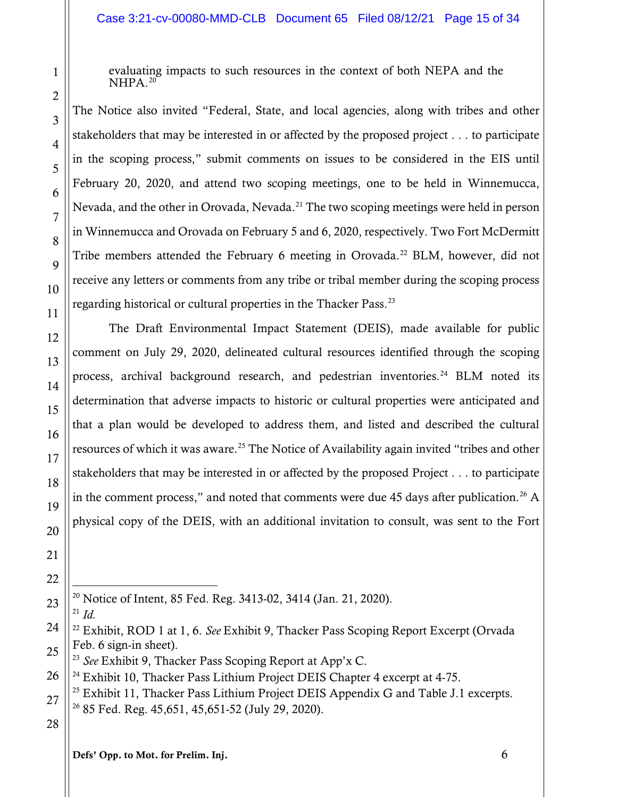evaluating impacts to such resources in the context of both NEPA and the  $NHPA.<sup>20</sup>$  $NHPA.<sup>20</sup>$  $NHPA.<sup>20</sup>$ 

The Notice also invited "Federal, State, and local agencies, along with tribes and other stakeholders that may be interested in or affected by the proposed project . . . to participate in the scoping process," submit comments on issues to be considered in the EIS until February 20, 2020, and attend two scoping meetings, one to be held in Winnemucca, Nevada, and the other in Orovada, Nevada.<sup>[21](#page-14-1)</sup> The two scoping meetings were held in person in Winnemucca and Orovada on February 5 and 6, 2020, respectively. Two Fort McDermitt Tribe members attended the February 6 meeting in Orovada.<sup>[22](#page-14-2)</sup> BLM, however, did not receive any letters or comments from any tribe or tribal member during the scoping process regarding historical or cultural properties in the Thacker Pass.[23](#page-14-3)

The Draft Environmental Impact Statement (DEIS), made available for public comment on July 29, 2020, delineated cultural resources identified through the scoping process, archival background research, and pedestrian inventories.<sup>[24](#page-14-4)</sup> BLM noted its determination that adverse impacts to historic or cultural properties were anticipated and that a plan would be developed to address them, and listed and described the cultural resources of which it was aware.<sup>[25](#page-14-5)</sup> The Notice of Availability again invited "tribes and other stakeholders that may be interested in or affected by the proposed Project . . . to participate in the comment process," and noted that comments were due 45 days after publication. [26](#page-14-6) A physical copy of the DEIS, with an additional invitation to consult, was sent to the Fort

 $\overline{a}$ <sup>20</sup> Notice of Intent, 85 Fed. Reg. 3413-02, 3414 (Jan. 21, 2020).

<span id="page-14-1"></span><span id="page-14-0"></span>23 <sup>21</sup> *Id.*

1

2

3

4

5

6

7

8

9

10

11

12

13

14

15

16

17

18

19

20

21

22

<span id="page-14-2"></span>24

<span id="page-14-4"></span>26  $^{24}$  Exhibit 10, Thacker Pass Lithium Project DEIS Chapter 4 excerpt at 4-75.

### 28

Defs' Opp. to Mot. for Prelim. Inj. 6

<sup>22</sup> Exhibit, ROD 1 at 1, 6. *See* Exhibit 9, Thacker Pass Scoping Report Excerpt (Orvada Feb. 6 sign-in sheet).

<span id="page-14-3"></span><sup>25</sup> <sup>23</sup> *See* Exhibit 9, Thacker Pass Scoping Report at App'x C.

<span id="page-14-6"></span><span id="page-14-5"></span><sup>27</sup>  $^{25}$  Exhibit 11, Thacker Pass Lithium Project DEIS Appendix G and Table J.1 excerpts.  $26$  85 Fed. Reg. 45,651, 45,651-52 (July 29, 2020).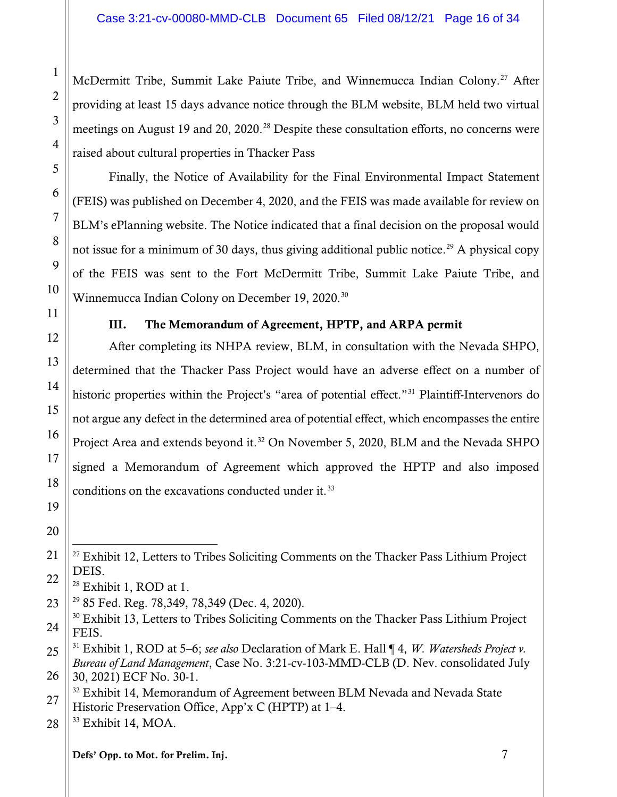McDermitt Tribe, Summit Lake Paiute Tribe, and Winnemucca Indian Colony. [27](#page-15-0) After providing at least 15 days advance notice through the BLM website, BLM held two virtual meetings on August 19 and 20, 2020.<sup>[28](#page-15-1)</sup> Despite these consultation efforts, no concerns were raised about cultural properties in Thacker Pass

Finally, the Notice of Availability for the Final Environmental Impact Statement (FEIS) was published on December 4, 2020, and the FEIS was made available for review on BLM's ePlanning website. The Notice indicated that a final decision on the proposal would not issue for a minimum of 30 days, thus giving additional public notice.<sup>[29](#page-15-2)</sup> A physical copy of the FEIS was sent to the Fort McDermitt Tribe, Summit Lake Paiute Tribe, and Winnemucca Indian Colony on December 19, 2020. [30](#page-15-3)

#### III. The Memorandum of Agreement, HPTP, and ARPA permit

After completing its NHPA review, BLM, in consultation with the Nevada SHPO, determined that the Thacker Pass Project would have an adverse effect on a number of historic properties within the Project's "area of potential effect."<sup>[31](#page-15-4)</sup> Plaintiff-Intervenors do not argue any defect in the determined area of potential effect, which encompasses the entire Project Area and extends beyond it.<sup>[32](#page-15-5)</sup> On November 5, 2020, BLM and the Nevada SHPO signed a Memorandum of Agreement which approved the HPTP and also imposed conditions on the excavations conducted under it.<sup>[33](#page-15-6)</sup>

<span id="page-15-0"></span> $\overline{a}$  $^{27}$  Exhibit 12, Letters to Tribes Soliciting Comments on the Thacker Pass Lithium Project DEIS.

<sup>&</sup>lt;sup>28</sup> Exhibit 1, ROD at 1.

<span id="page-15-2"></span><span id="page-15-1"></span><sup>29</sup> 85 Fed. Reg. 78,349, 78,349 (Dec. 4, 2020).

<span id="page-15-3"></span><sup>&</sup>lt;sup>30</sup> Exhibit 13, Letters to Tribes Soliciting Comments on the Thacker Pass Lithium Project FEIS.

<span id="page-15-4"></span><sup>31</sup> Exhibit 1, ROD at 5–6; *see also* Declaration of Mark E. Hall ¶ 4, *W. Watersheds Project v. Bureau of Land Management*, Case No. 3:21-cv-103-MMD-CLB (D. Nev. consolidated July 30, 2021) ECF No. 30-1.

<span id="page-15-5"></span> $32$  Exhibit 14, Memorandum of Agreement between BLM Nevada and Nevada State Historic Preservation Office, App'x C (HPTP) at 1–4.

<span id="page-15-6"></span><sup>33</sup> Exhibit 14, MOA.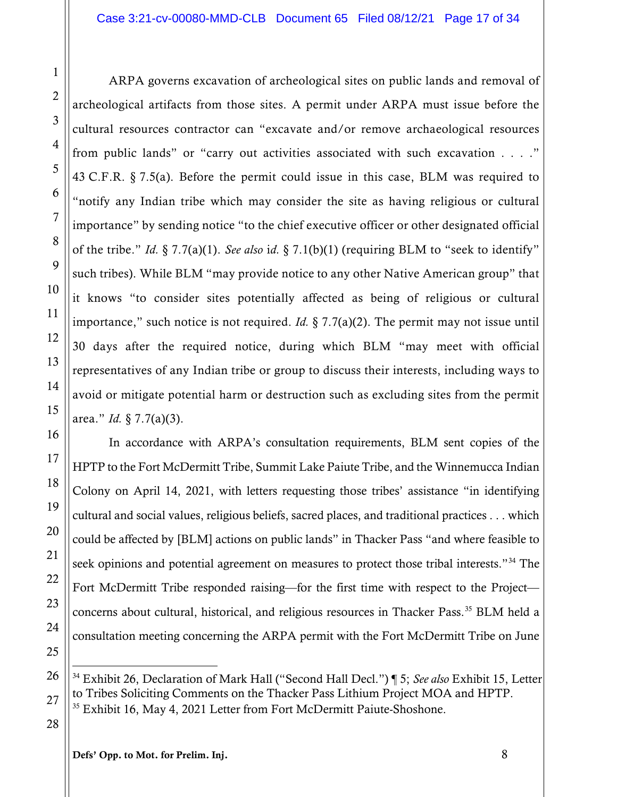ARPA governs excavation of archeological sites on public lands and removal of archeological artifacts from those sites. A permit under ARPA must issue before the cultural resources contractor can "excavate and/or remove archaeological resources from public lands" or "carry out activities associated with such excavation . . . ." 43 C.F.R. § 7.5(a). Before the permit could issue in this case, BLM was required to "notify any Indian tribe which may consider the site as having religious or cultural importance" by sending notice "to the chief executive officer or other designated official of the tribe." *Id.* § 7.7(a)(1). *See also* i*d.* § 7.1(b)(1) (requiring BLM to "seek to identify" such tribes). While BLM "may provide notice to any other Native American group" that it knows "to consider sites potentially affected as being of religious or cultural importance," such notice is not required. *Id.* § 7.7(a)(2). The permit may not issue until 30 days after the required notice, during which BLM "may meet with official representatives of any Indian tribe or group to discuss their interests, including ways to avoid or mitigate potential harm or destruction such as excluding sites from the permit area." *Id.* § 7.7(a)(3).

In accordance with ARPA's consultation requirements, BLM sent copies of the HPTP to the Fort McDermitt Tribe, Summit Lake Paiute Tribe, and the Winnemucca Indian Colony on April 14, 2021, with letters requesting those tribes' assistance "in identifying cultural and social values, religious beliefs, sacred places, and traditional practices . . . which could be affected by [BLM] actions on public lands" in Thacker Pass "and where feasible to seek opinions and potential agreement on measures to protect those tribal interests."<sup>[34](#page-16-0)</sup> The Fort McDermitt Tribe responded raising—for the first time with respect to the Project concerns about cultural, historical, and religious resources in Thacker Pass. [35](#page-16-1) BLM held a consultation meeting concerning the ARPA permit with the Fort McDermitt Tribe on June

<span id="page-16-1"></span>28

1

2

3

4

5

6

7

8

9

10

11

12

13

14

15

16

17

18

19

20

21

22

23

24

25

<span id="page-16-0"></span>26

 $\overline{a}$ <sup>34</sup> Exhibit 26, Declaration of Mark Hall ("Second Hall Decl.") ¶ 5; *See also* Exhibit 15, Letter to Tribes Soliciting Comments on the Thacker Pass Lithium Project MOA and HPTP. <sup>35</sup> Exhibit 16, May 4, 2021 Letter from Fort McDermitt Paiute-Shoshone.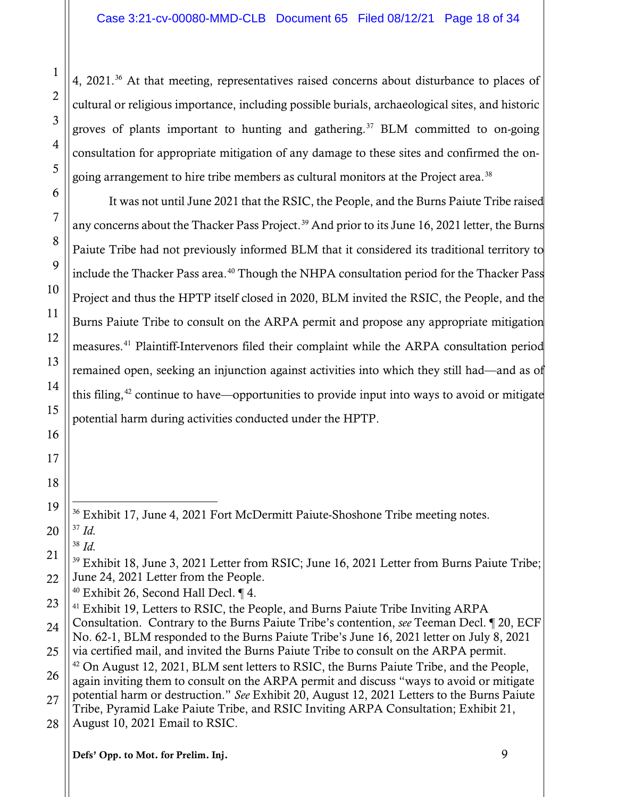4, 2021.<sup>[36](#page-17-0)</sup> At that meeting, representatives raised concerns about disturbance to places of cultural or religious importance, including possible burials, archaeological sites, and historic groves of plants important to hunting and gathering.<sup>[37](#page-17-1)</sup> BLM committed to on-going consultation for appropriate mitigation of any damage to these sites and confirmed the on-going arrangement to hire tribe members as cultural monitors at the Project area.<sup>[38](#page-17-2)</sup>

It was not until June 2021 that the RSIC, the People, and the Burns Paiute Tribe raised any concerns about the Thacker Pass Project. [39](#page-17-3) And prior to its June 16, 2021 letter, the Burns Paiute Tribe had not previously informed BLM that it considered its traditional territory to include the Thacker Pass area.<sup>[40](#page-17-4)</sup> Though the NHPA consultation period for the Thacker Pass Project and thus the HPTP itself closed in 2020, BLM invited the RSIC, the People, and the Burns Paiute Tribe to consult on the ARPA permit and propose any appropriate mitigation measures.<sup>[41](#page-17-5)</sup> Plaintiff-Intervenors filed their complaint while the ARPA consultation period remained open, seeking an injunction against activities into which they still had—and as of this filing,  $42$  continue to have—opportunities to provide input into ways to avoid or mitigate potential harm during activities conducted under the HPTP.

<sup>38</sup> *Id.*

1

2

3

4

5

6

7

8

9

10

11

12

13

14

15

16

17

18

<span id="page-17-1"></span><span id="page-17-0"></span>19

 $\overline{a}$ <sup>36</sup> Exhibit 17, June 4, 2021 Fort McDermitt Paiute-Shoshone Tribe meeting notes. <sup>37</sup> *Id.*

<span id="page-17-3"></span><span id="page-17-2"></span><sup>21</sup> 22 <sup>39</sup> Exhibit 18, June 3, 2021 Letter from RSIC; June 16, 2021 Letter from Burns Paiute Tribe; June 24, 2021 Letter from the People.

<sup>40</sup> Exhibit 26, Second Hall Decl. ¶ 4.

<span id="page-17-5"></span><span id="page-17-4"></span><sup>23</sup> 24 25 26 <sup>41</sup> Exhibit 19, Letters to RSIC, the People, and Burns Paiute Tribe Inviting ARPA Consultation. Contrary to the Burns Paiute Tribe's contention, *see* Teeman Decl. ¶ 20, ECF No. 62-1, BLM responded to the Burns Paiute Tribe's June 16, 2021 letter on July 8, 2021 via certified mail, and invited the Burns Paiute Tribe to consult on the ARPA permit.  $42$  On August 12, 2021, BLM sent letters to RSIC, the Burns Paiute Tribe, and the People, again inviting them to consult on the ARPA permit and discuss "ways to avoid or mitigate

<span id="page-17-6"></span><sup>27</sup> potential harm or destruction." *See* Exhibit 20, August 12, 2021 Letters to the Burns Paiute Tribe, Pyramid Lake Paiute Tribe, and RSIC Inviting ARPA Consultation; Exhibit 21,

<sup>28</sup> August 10, 2021 Email to RSIC.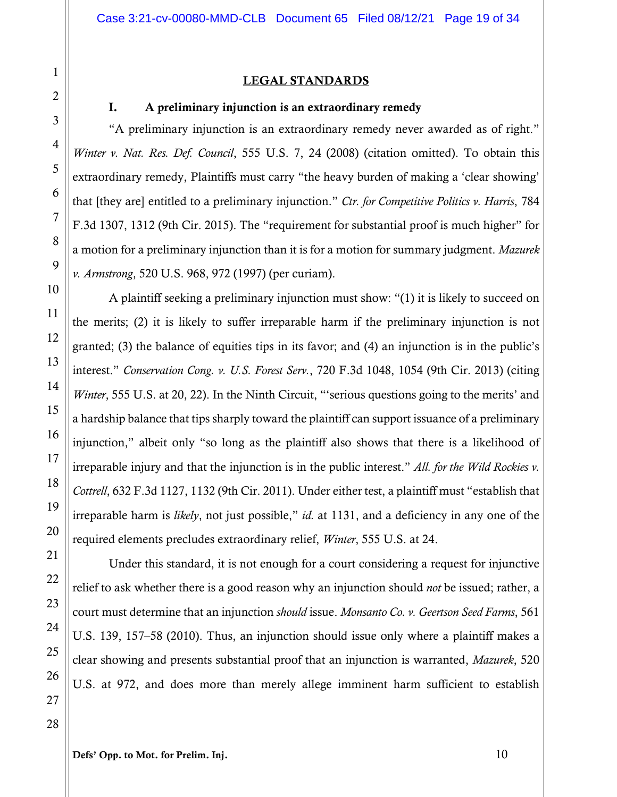#### LEGAL STANDARDS

#### I. A preliminary injunction is an extraordinary remedy

"A preliminary injunction is an extraordinary remedy never awarded as of right." *Winter v. Nat. Res. Def. Council*, 555 U.S. 7, 24 (2008) (citation omitted). To obtain this extraordinary remedy, Plaintiffs must carry "the heavy burden of making a 'clear showing' that [they are] entitled to a preliminary injunction." *Ctr. for Competitive Politics v. Harris*, 784 F.3d 1307, 1312 (9th Cir. 2015). The "requirement for substantial proof is much higher" for a motion for a preliminary injunction than it is for a motion for summary judgment. *Mazurek v. Armstrong*, 520 U.S. 968, 972 (1997) (per curiam).

A plaintiff seeking a preliminary injunction must show: "(1) it is likely to succeed on the merits; (2) it is likely to suffer irreparable harm if the preliminary injunction is not granted; (3) the balance of equities tips in its favor; and (4) an injunction is in the public's interest." *Conservation Cong. v. U.S. Forest Serv.*, 720 F.3d 1048, 1054 (9th Cir. 2013) (citing *Winter*, 555 U.S. at 20, 22). In the Ninth Circuit, "serious questions going to the merits' and a hardship balance that tips sharply toward the plaintiff can support issuance of a preliminary injunction," albeit only "so long as the plaintiff also shows that there is a likelihood of irreparable injury and that the injunction is in the public interest." *All. for the Wild Rockies v. Cottrell*, 632 F.3d 1127, 1132 (9th Cir. 2011). Under either test, a plaintiff must "establish that irreparable harm is *likely*, not just possible," *id.* at 1131, and a deficiency in any one of the required elements precludes extraordinary relief, *Winter*, 555 U.S. at 24.

Under this standard, it is not enough for a court considering a request for injunctive relief to ask whether there is a good reason why an injunction should *not* be issued; rather, a court must determine that an injunction *should* issue. *Monsanto Co. v. Geertson Seed Farms*, 561 U.S. 139, 157–58 (2010). Thus, an injunction should issue only where a plaintiff makes a clear showing and presents substantial proof that an injunction is warranted, *Mazurek*, 520 U.S. at 972, and does more than merely allege imminent harm sufficient to establish

Defs' Opp. to Mot. for Prelim. Inj. 10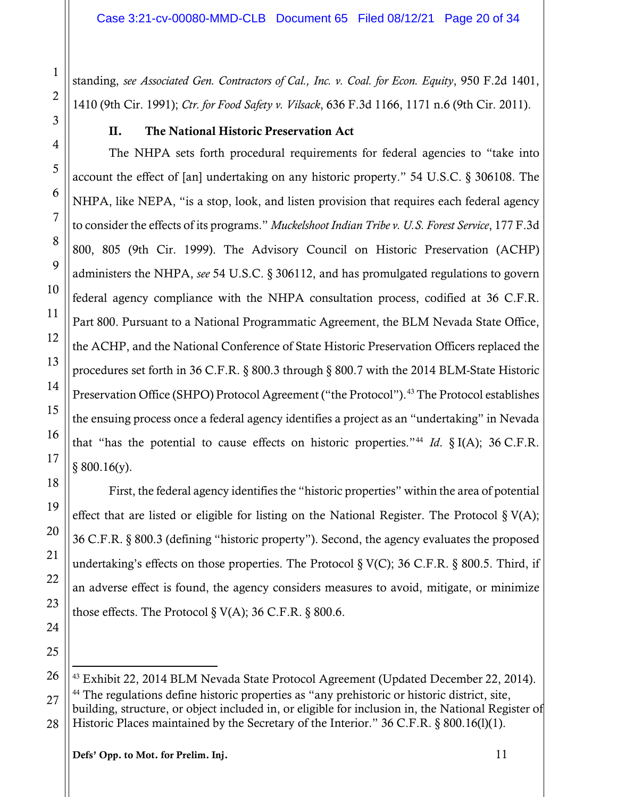standing, *see Associated Gen. Contractors of Cal., Inc. v. Coal. for Econ. Equity*, 950 F.2d 1401, 1410 (9th Cir. 1991); *Ctr. for Food Safety v. Vilsack*, 636 F.3d 1166, 1171 n.6 (9th Cir. 2011).

#### II. The National Historic Preservation Act

The NHPA sets forth procedural requirements for federal agencies to "take into account the effect of [an] undertaking on any historic property." 54 U.S.C. § 306108. The NHPA, like NEPA, "is a stop, look, and listen provision that requires each federal agency to consider the effects of its programs." *Muckelshoot Indian Tribe v. U.S. Forest Service*, 177 F.3d 800, 805 (9th Cir. 1999). The Advisory Council on Historic Preservation (ACHP) administers the NHPA, *see* 54 U.S.C. § 306112, and has promulgated regulations to govern federal agency compliance with the NHPA consultation process, codified at 36 C.F.R. Part 800. Pursuant to a National Programmatic Agreement, the BLM Nevada State Office, the ACHP, and the National Conference of State Historic Preservation Officers replaced the procedures set forth in 36 C.F.R. § 800.3 through § 800.7 with the 2014 BLM-State Historic Preservation Office (SHPO) Protocol Agreement ("the Protocol").<sup>[43](#page-19-0)</sup> The Protocol establishes the ensuing process once a federal agency identifies a project as an "undertaking" in Nevada that "has the potential to cause effects on historic properties."<sup>[44](#page-19-1)</sup> *Id.* § I(A); 36 C.F.R.  $§ 800.16(y).$ 

First, the federal agency identifies the "historic properties" within the area of potential effect that are listed or eligible for listing on the National Register. The Protocol  $\S V(A)$ ; 36 C.F.R. § 800.3 (defining "historic property"). Second, the agency evaluates the proposed undertaking's effects on those properties. The Protocol  $\S V(C)$ ; 36 C.F.R.  $\S 800.5$ . Third, if an adverse effect is found, the agency considers measures to avoid, mitigate, or minimize those effects. The Protocol  $\S V(A)$ ; 36 C.F.R.  $\S 800.6$ .

<span id="page-19-1"></span><span id="page-19-0"></span> $\overline{a}$  $43$  Exhibit 22, 2014 BLM Nevada State Protocol Agreement (Updated December 22, 2014). <sup>44</sup> The regulations define historic properties as "any prehistoric or historic district, site, building, structure, or object included in, or eligible for inclusion in, the National Register of Historic Places maintained by the Secretary of the Interior." 36 C.F.R. § 800.16(1)(1).

Defs' Opp. to Mot. for Prelim. Inj. 11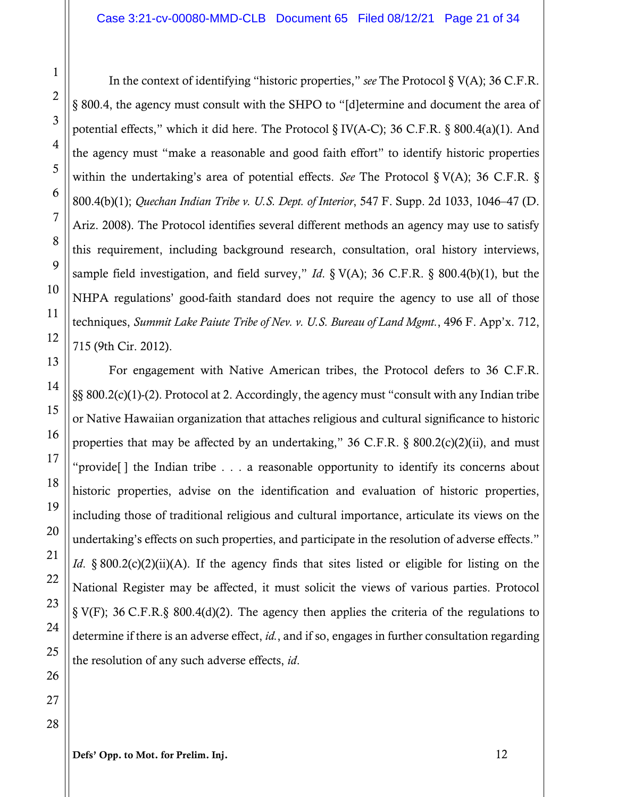In the context of identifying "historic properties," *see* The Protocol § V(A); 36 C.F.R. § 800.4, the agency must consult with the SHPO to "[d]etermine and document the area of potential effects," which it did here. The Protocol § IV(A-C); 36 C.F.R. § 800.4(a)(1). And the agency must "make a reasonable and good faith effort" to identify historic properties within the undertaking's area of potential effects. *See* The Protocol § V(A); 36 C.F.R. § 800.4(b)(1); *Quechan Indian Tribe v. U.S. Dept. of Interior*, 547 F. Supp. 2d 1033, 1046–47 (D. Ariz. 2008). The Protocol identifies several different methods an agency may use to satisfy this requirement, including background research, consultation, oral history interviews, sample field investigation, and field survey," *Id*. § V(A); 36 C.F.R. § 800.4(b)(1), but the NHPA regulations' good-faith standard does not require the agency to use all of those techniques, *Summit Lake Paiute Tribe of Nev. v. U.S. Bureau of Land Mgmt.*, 496 F. App'x. 712, 715 (9th Cir. 2012).

For engagement with Native American tribes, the Protocol defers to 36 C.F.R. §§ 800.2(c)(1)-(2). Protocol at 2. Accordingly, the agency must "consult with any Indian tribe or Native Hawaiian organization that attaches religious and cultural significance to historic properties that may be affected by an undertaking," 36 C.F.R.  $\S$  800.2(c)(2)(ii), and must "provide[ ] the Indian tribe . . . a reasonable opportunity to identify its concerns about historic properties, advise on the identification and evaluation of historic properties, including those of traditional religious and cultural importance, articulate its views on the undertaking's effects on such properties, and participate in the resolution of adverse effects." *Id*. § 800.2(c)(2)(ii)(A). If the agency finds that sites listed or eligible for listing on the National Register may be affected, it must solicit the views of various parties. Protocol § V(F); 36 C.F.R.§ 800.4(d)(2). The agency then applies the criteria of the regulations to determine if there is an adverse effect, *id.*, and if so, engages in further consultation regarding the resolution of any such adverse effects, *id*.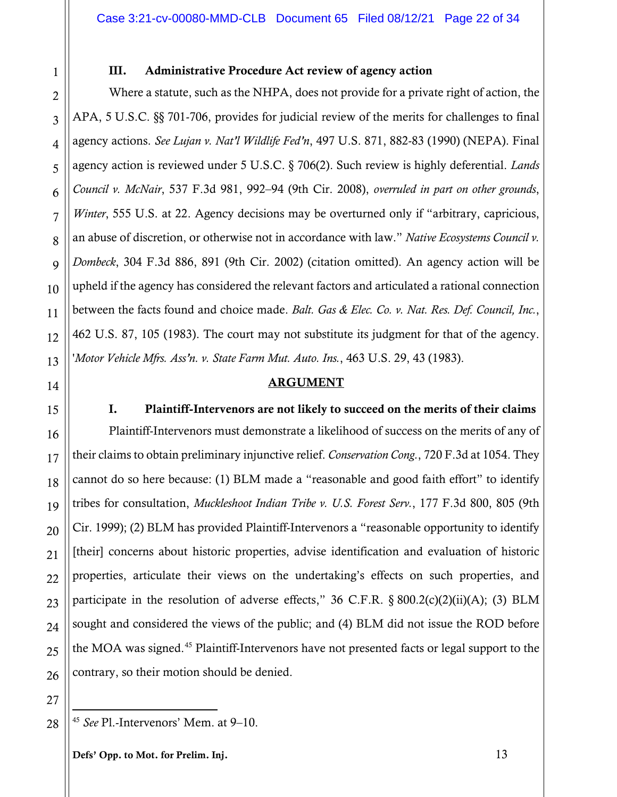#### III. Administrative Procedure Act review of agency action

Where a statute, such as the NHPA, does not provide for a private right of action, the APA, 5 U.S.C. §§ 701-706, provides for judicial review of the merits for challenges to final agency actions. *See Lujan v. Nat'l Wildlife Fed'n*, 497 U.S. 871, 882-83 (1990) (NEPA). Final agency action is reviewed under 5 U.S.C. § 706(2). Such review is highly deferential. *Lands Council v. McNair*, 537 F.3d 981, 992–94 (9th Cir. 2008), *overruled in part on other grounds*, *Winter*, 555 U.S. at 22. Agency decisions may be overturned only if "arbitrary, capricious, an abuse of discretion, or otherwise not in accordance with law." *Native Ecosystems Council v. Dombeck*, 304 F.3d 886, 891 (9th Cir. 2002) (citation omitted). An agency action will be upheld if the agency has considered the relevant factors and articulated a rational connection between the facts found and choice made. *Balt. Gas & Elec. Co. v. Nat. Res. Def. Council, Inc.*, 462 U.S. 87, 105 (1983). The court may not substitute its judgment for that of the agency. '*Motor Vehicle Mfrs. Ass'n. v. State Farm Mut. Auto. Ins.*, 463 U.S. 29, 43 (1983).

#### **ARGUMENT**

I. Plaintiff-Intervenors are not likely to succeed on the merits of their claims Plaintiff-Intervenors must demonstrate a likelihood of success on the merits of any of their claims to obtain preliminary injunctive relief. *Conservation Cong.*, 720 F.3d at 1054. They cannot do so here because: (1) BLM made a "reasonable and good faith effort" to identify tribes for consultation, *Muckleshoot Indian Tribe v. U.S. Forest Serv.*, 177 F.3d 800, 805 (9th Cir. 1999); (2) BLM has provided Plaintiff-Intervenors a "reasonable opportunity to identify [their] concerns about historic properties, advise identification and evaluation of historic properties, articulate their views on the undertaking's effects on such properties, and participate in the resolution of adverse effects," 36 C.F.R.  $\S 800.2(c)(2)(ii)(A)$ ; (3) BLM sought and considered the views of the public; and (4) BLM did not issue the ROD before the MOA was signed. [45](#page-21-0) Plaintiff-Intervenors have not presented facts or legal support to the contrary, so their motion should be denied.

1

2

<span id="page-21-0"></span> $\overline{a}$ <sup>45</sup> *See* Pl.-Intervenors' Mem. at 9–10.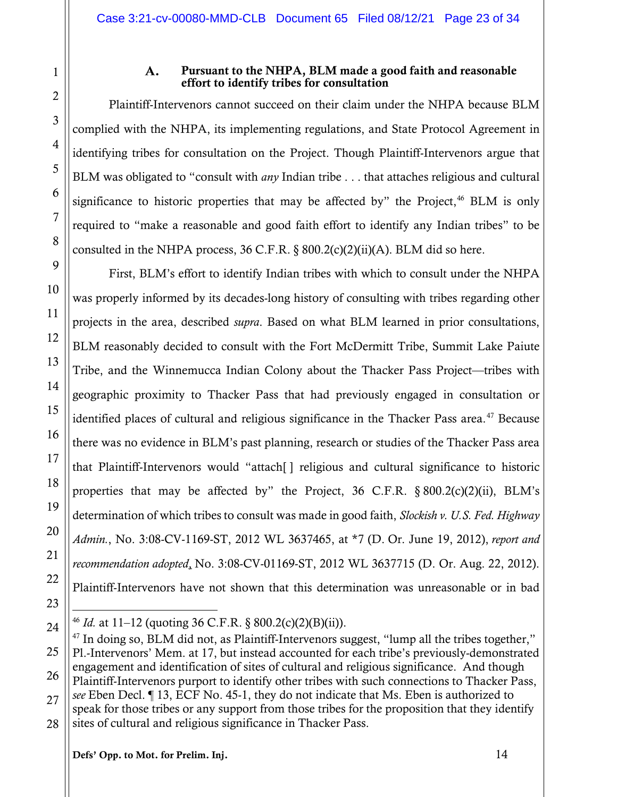#### Pursuant to the NHPA, BLM made a good faith and reasonable A. effort to identify tribes for consultation

Plaintiff-Intervenors cannot succeed on their claim under the NHPA because BLM complied with the NHPA, its implementing regulations, and State Protocol Agreement in identifying tribes for consultation on the Project. Though Plaintiff-Intervenors argue that BLM was obligated to "consult with *any* Indian tribe . . . that attaches religious and cultural significance to historic properties that may be affected by" the Project, $46$  BLM is only required to "make a reasonable and good faith effort to identify any Indian tribes" to be consulted in the NHPA process,  $36$  C.F.R.  $\S$   $800.2(c)(2)(ii)(A)$ . BLM did so here.

First, BLM's effort to identify Indian tribes with which to consult under the NHPA was properly informed by its decades-long history of consulting with tribes regarding other projects in the area, described *supra*. Based on what BLM learned in prior consultations, BLM reasonably decided to consult with the Fort McDermitt Tribe, Summit Lake Paiute Tribe, and the Winnemucca Indian Colony about the Thacker Pass Project—tribes with geographic proximity to Thacker Pass that had previously engaged in consultation or identified places of cultural and religious significance in the Thacker Pass area.<sup>[47](#page-22-1)</sup> Because there was no evidence in BLM's past planning, research or studies of the Thacker Pass area that Plaintiff-Intervenors would "attach[ ] religious and cultural significance to historic properties that may be affected by" the Project, 36 C.F.R.  $\S 800.2(c)(2)(ii)$ , BLM's determination of which tribes to consult was made in good faith, *Slockish v. U.S. Fed. Highway Admin.*, No. 3:08-CV-1169-ST, 2012 WL 3637465, at \*7 (D. Or. June 19, 2012), *report and recommendation adopted*, No. 3:08-CV-01169-ST, 2012 WL 3637715 (D. Or. Aug. 22, 2012). Plaintiff-Intervenors have not shown that this determination was unreasonable or in bad

1

2

3

4

5

6

7

8

9

10

11

12

13

14

15

16

17

18

19

20

21

22

 $\overline{a}$ <sup>46</sup> *Id.* at 11–12 (quoting 36 C.F.R. § 800.2(c)(2)(B)(ii)).

<span id="page-22-1"></span><span id="page-22-0"></span><sup>24</sup> 25 26 27 28  $47$  In doing so, BLM did not, as Plaintiff-Intervenors suggest, "lump all the tribes together," Pl.-Intervenors' Mem. at 17, but instead accounted for each tribe's previously-demonstrated engagement and identification of sites of cultural and religious significance. And though Plaintiff-Intervenors purport to identify other tribes with such connections to Thacker Pass, *see* Eben Decl. ¶ 13, ECF No. 45-1, they do not indicate that Ms. Eben is authorized to speak for those tribes or any support from those tribes for the proposition that they identify sites of cultural and religious significance in Thacker Pass.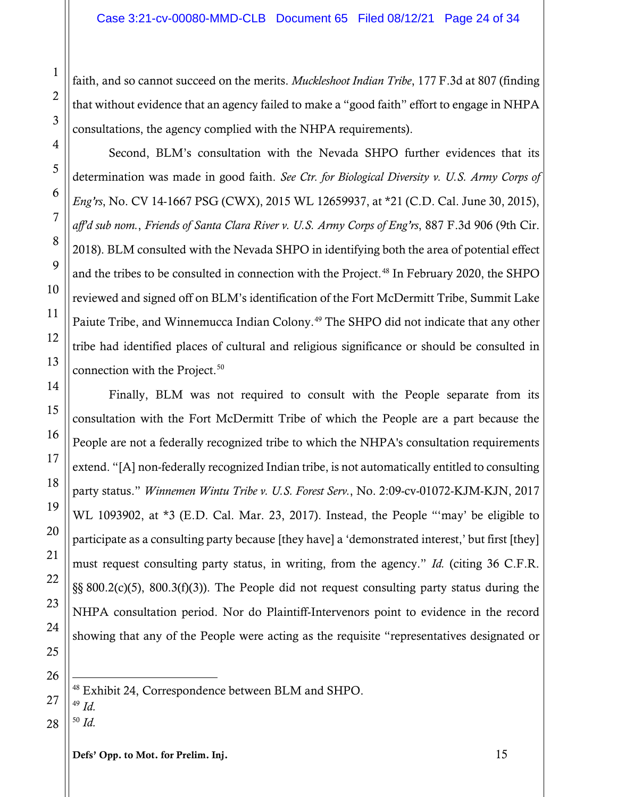faith, and so cannot succeed on the merits. *Muckleshoot Indian Tribe*, 177 F.3d at 807 (finding that without evidence that an agency failed to make a "good faith" effort to engage in NHPA consultations, the agency complied with the NHPA requirements).

Second, BLM's consultation with the Nevada SHPO further evidences that its determination was made in good faith. *See Ctr. for Biological Diversity v. U.S. Army Corps of Eng'rs*, No. CV 14-1667 PSG (CWX), 2015 WL 12659937, at \*21 (C.D. Cal. June 30, 2015), *aff'd sub nom.*, *Friends of Santa Clara River v. U.S. Army Corps of Eng'rs*, 887 F.3d 906 (9th Cir. 2018). BLM consulted with the Nevada SHPO in identifying both the area of potential effect and the tribes to be consulted in connection with the Project.<sup>[48](#page-23-0)</sup> In February 2020, the SHPO reviewed and signed off on BLM's identification of the Fort McDermitt Tribe, Summit Lake Paiute Tribe, and Winnemucca Indian Colony.<sup>[49](#page-23-1)</sup> The SHPO did not indicate that any other tribe had identified places of cultural and religious significance or should be consulted in connection with the Project.<sup>[50](#page-23-2)</sup>

Finally, BLM was not required to consult with the People separate from its consultation with the Fort McDermitt Tribe of which the People are a part because the People are not a federally recognized tribe to which the NHPA's consultation requirements extend. "[A] non-federally recognized Indian tribe, is not automatically entitled to consulting party status." *Winnemen Wintu Tribe v. U.S. Forest Serv.*, No. 2:09-cv-01072-KJM-KJN, 2017 WL 1093902, at \*3 (E.D. Cal. Mar. 23, 2017). Instead, the People "'may' be eligible to participate as a consulting party because [they have] a 'demonstrated interest,' but first [they] must request consulting party status, in writing, from the agency." *Id.* (citing 36 C.F.R. §§ 800.2(c)(5), 800.3(f)(3)). The People did not request consulting party status during the NHPA consultation period. Nor do Plaintiff-Intervenors point to evidence in the record showing that any of the People were acting as the requisite "representatives designated or

 $\overline{a}$  $48$  Exhibit 24, Correspondence between BLM and SHPO. <sup>49</sup> *Id.*

<span id="page-23-2"></span><span id="page-23-1"></span><span id="page-23-0"></span><sup>50</sup> *Id.*

1

2

3

4

5

6

7

8

9

10

11

12

13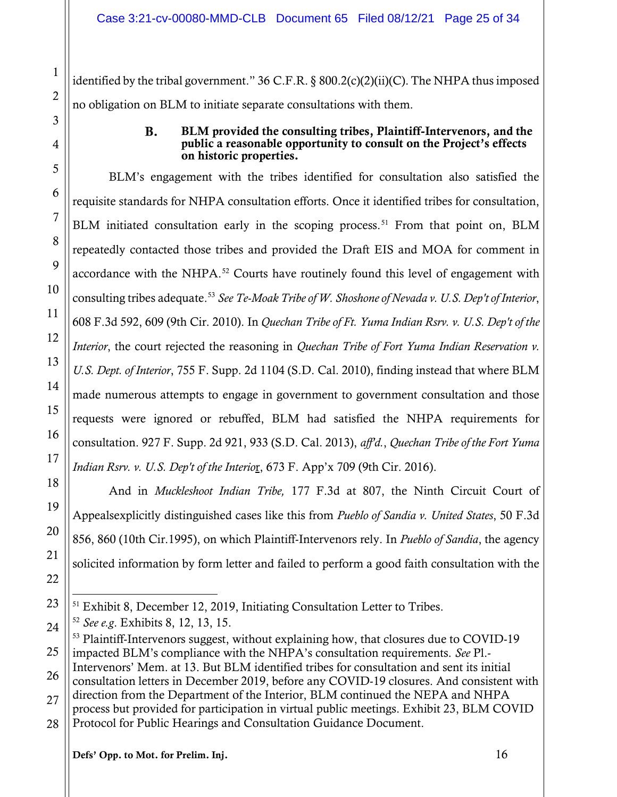identified by the tribal government." 36 C.F.R. § 800.2(c)(2)(ii)(C). The NHPA thus imposed no obligation on BLM to initiate separate consultations with them.

#### **B.** BLM provided the consulting tribes, Plaintiff-Intervenors, and the public a reasonable opportunity to consult on the Project's effects on historic properties.

BLM's engagement with the tribes identified for consultation also satisfied the requisite standards for NHPA consultation efforts. Once it identified tribes for consultation, BLM initiated consultation early in the scoping process.<sup>[51](#page-24-0)</sup> From that point on, BLM repeatedly contacted those tribes and provided the Draft EIS and MOA for comment in accordance with the NHPA.<sup>[52](#page-24-1)</sup> Courts have routinely found this level of engagement with consulting tribes adequate.[53](#page-24-2) *See Te-Moak Tribe of W. Shoshone of Nevada v. U.S. Dep't of Interior*, 608 F.3d 592, 609 (9th Cir. 2010). In *Quechan Tribe of Ft. Yuma Indian Rsrv. v. U.S. Dep't of the Interior*, the court rejected the reasoning in *Quechan Tribe of Fort Yuma Indian Reservation v. U.S. Dept. of Interior*, 755 F. Supp. 2d 1104 (S.D. Cal. 2010), finding instead that where BLM made numerous attempts to engage in government to government consultation and those requests were ignored or rebuffed, BLM had satisfied the NHPA requirements for consultation. 927 F. Supp. 2d 921, 933 (S.D. Cal. 2013), *aff'd.*, *Quechan Tribe of the Fort Yuma Indian Rsrv. v. U.S. Dep't of the Interio*r, 673 F. App'x 709 (9th Cir. 2016).

And in *Muckleshoot Indian Tribe,* 177 F.3d at 807, the Ninth Circuit Court of Appealsexplicitly distinguished cases like this from *Pueblo of Sandia v. United States*, 50 F.3d 856, 860 (10th Cir.1995), on which Plaintiff-Intervenors rely. In *Pueblo of Sandia*, the agency solicited information by form letter and failed to perform a good faith consultation with the

 $\overline{a}$  $51$  Exhibit 8, December 12, 2019, Initiating Consultation Letter to Tribes.

<span id="page-24-0"></span><sup>52</sup> *See e.g*. Exhibits 8, 12, 13, 15.

<span id="page-24-1"></span><sup>&</sup>lt;sup>53</sup> Plaintiff-Intervenors suggest, without explaining how, that closures due to COVID-19 impacted BLM's compliance with the NHPA's consultation requirements. *See* Pl.-

<span id="page-24-2"></span>Intervenors' Mem. at 13. But BLM identified tribes for consultation and sent its initial consultation letters in December 2019, before any COVID-19 closures. And consistent with

<sup>27</sup> direction from the Department of the Interior, BLM continued the NEPA and NHPA process but provided for participation in virtual public meetings. Exhibit 23, BLM COVID

Protocol for Public Hearings and Consultation Guidance Document.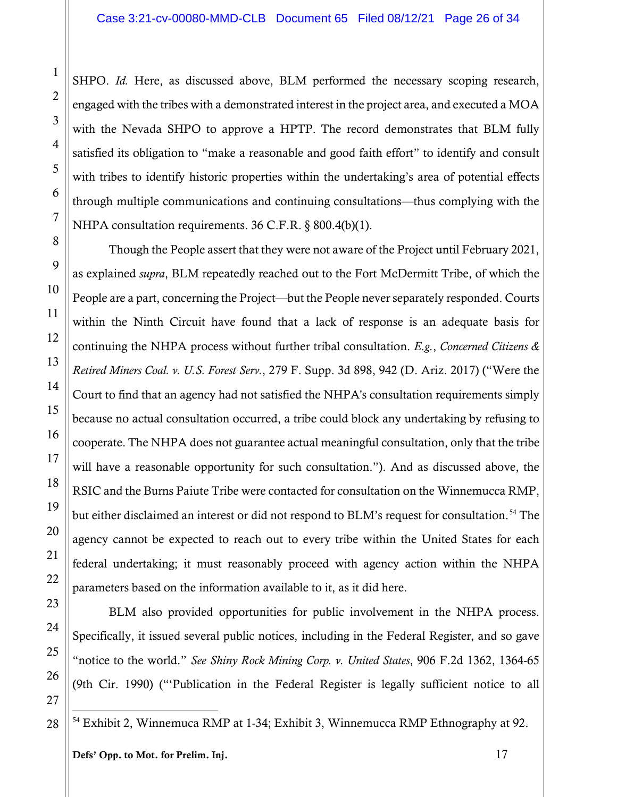SHPO. *Id.* Here, as discussed above, BLM performed the necessary scoping research, engaged with the tribes with a demonstrated interest in the project area, and executed a MOA with the Nevada SHPO to approve a HPTP. The record demonstrates that BLM fully satisfied its obligation to "make a reasonable and good faith effort" to identify and consult with tribes to identify historic properties within the undertaking's area of potential effects through multiple communications and continuing consultations—thus complying with the NHPA consultation requirements. 36 C.F.R. § 800.4(b)(1).

Though the People assert that they were not aware of the Project until February 2021, as explained *supra*, BLM repeatedly reached out to the Fort McDermitt Tribe, of which the People are a part, concerning the Project—but the People never separately responded. Courts within the Ninth Circuit have found that a lack of response is an adequate basis for continuing the NHPA process without further tribal consultation. *E.g.*, *Concerned Citizens & Retired Miners Coal. v. U.S. Forest Serv.*, 279 F. Supp. 3d 898, 942 (D. Ariz. 2017) ("Were the Court to find that an agency had not satisfied the NHPA's consultation requirements simply because no actual consultation occurred, a tribe could block any undertaking by refusing to cooperate. The NHPA does not guarantee actual meaningful consultation, only that the tribe will have a reasonable opportunity for such consultation."). And as discussed above, the RSIC and the Burns Paiute Tribe were contacted for consultation on the Winnemucca RMP, but either disclaimed an interest or did not respond to BLM's request for consultation.<sup>[54](#page-25-0)</sup> The agency cannot be expected to reach out to every tribe within the United States for each federal undertaking; it must reasonably proceed with agency action within the NHPA parameters based on the information available to it, as it did here.

BLM also provided opportunities for public involvement in the NHPA process. Specifically, it issued several public notices, including in the Federal Register, and so gave "notice to the world." *See Shiny Rock Mining Corp. v. United States*, 906 F.2d 1362, 1364-65 (9th Cir. 1990) ("'Publication in the Federal Register is legally sufficient notice to all

<span id="page-25-0"></span> $\overline{a}$ <sup>54</sup> Exhibit 2, Winnemuca RMP at 1-34; Exhibit 3, Winnemucca RMP Ethnography at 92.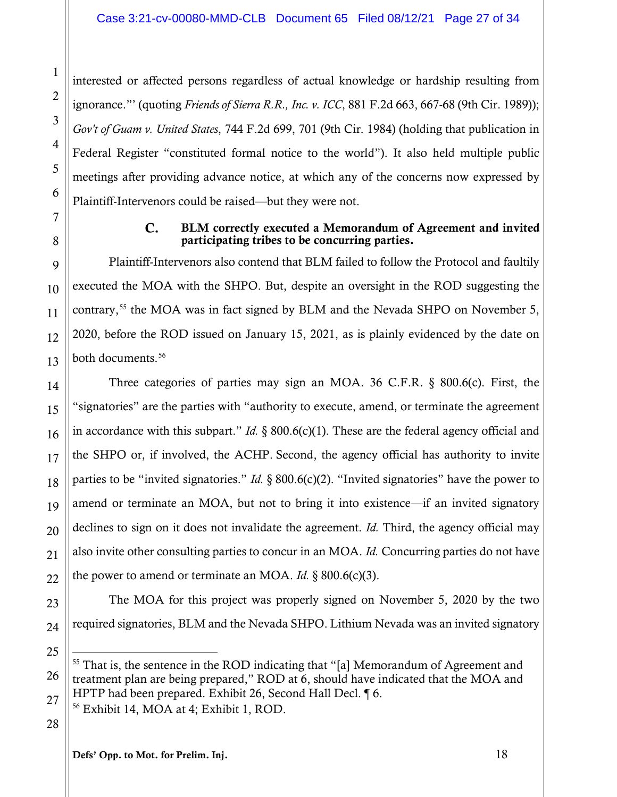interested or affected persons regardless of actual knowledge or hardship resulting from ignorance."' (quoting *Friends of Sierra R.R., Inc. v. ICC*, 881 F.2d 663, 667-68 (9th Cir. 1989)); *Gov't of Guam v. United States*, 744 F.2d 699, 701 (9th Cir. 1984) (holding that publication in Federal Register "constituted formal notice to the world"). It also held multiple public meetings after providing advance notice, at which any of the concerns now expressed by Plaintiff-Intervenors could be raised—but they were not.

#### $C_{\bullet}$ BLM correctly executed a Memorandum of Agreement and invited participating tribes to be concurring parties.

Plaintiff-Intervenors also contend that BLM failed to follow the Protocol and faultily executed the MOA with the SHPO. But, despite an oversight in the ROD suggesting the contrary,<sup>[55](#page-26-0)</sup> the MOA was in fact signed by BLM and the Nevada SHPO on November 5, 2020, before the ROD issued on January 15, 2021, as is plainly evidenced by the date on both documents. [56](#page-26-1)

Three categories of parties may sign an MOA. 36 C.F.R. § 800.6(c). First, the "signatories" are the parties with "authority to execute, amend, or terminate the agreement in accordance with this subpart." *Id.* § 800.6(c)(1). These are the federal agency official and the SHPO or, if involved, the ACHP. Second, the agency official has authority to invite parties to be "invited signatories." *Id.* § 800.6(c)(2). "Invited signatories" have the power to amend or terminate an MOA, but not to bring it into existence—if an invited signatory declines to sign on it does not invalidate the agreement. *Id.* Third, the agency official may also invite other consulting parties to concur in an MOA. *Id.* Concurring parties do not have the power to amend or terminate an MOA. *Id.* § 800.6(c)(3).

The MOA for this project was properly signed on November 5, 2020 by the two required signatories, BLM and the Nevada SHPO. Lithium Nevada was an invited signatory

28

<span id="page-26-1"></span>27

1

2

3

4

5

6

7

8

9

10

11

12

13

14

15

16

17

18

19

20

21

22

23

24

<span id="page-26-0"></span><sup>26</sup>  $\overline{a}$ <sup>55</sup> That is, the sentence in the ROD indicating that "[a] Memorandum of Agreement and treatment plan are being prepared," ROD at 6, should have indicated that the MOA and HPTP had been prepared. Exhibit 26, Second Hall Decl. ¶ 6.

<sup>56</sup> Exhibit 14, MOA at 4; Exhibit 1, ROD.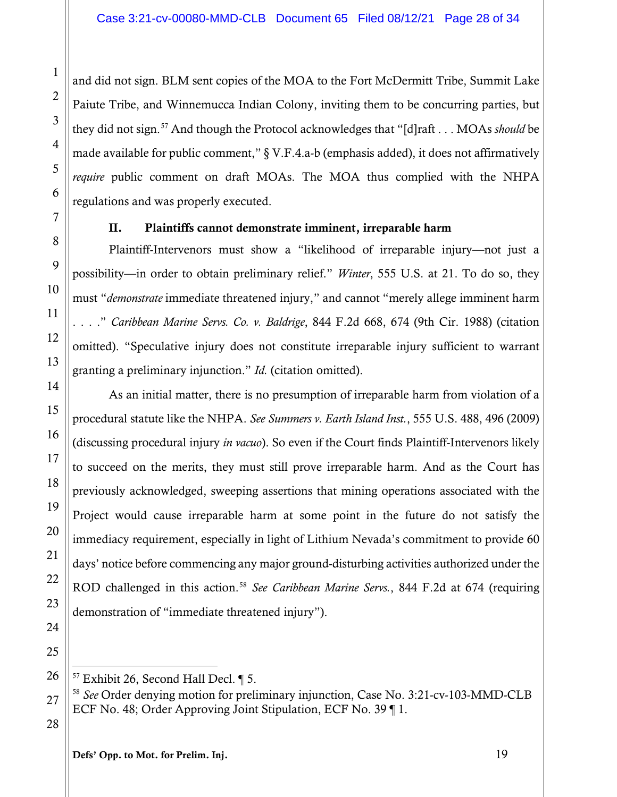and did not sign. BLM sent copies of the MOA to the Fort McDermitt Tribe, Summit Lake Paiute Tribe, and Winnemucca Indian Colony, inviting them to be concurring parties, but they did not sign.[57](#page-27-0) And though the Protocol acknowledges that "[d]raft . . . MOAs *should* be made available for public comment," § V.F.4.a-b (emphasis added), it does not affirmatively *require* public comment on draft MOAs. The MOA thus complied with the NHPA regulations and was properly executed.

#### II. Plaintiffs cannot demonstrate imminent, irreparable harm

Plaintiff-Intervenors must show a "likelihood of irreparable injury—not just a possibility—in order to obtain preliminary relief." *Winter*, 555 U.S. at 21. To do so, they must "*demonstrate* immediate threatened injury," and cannot "merely allege imminent harm . . . ." *Caribbean Marine Servs. Co. v. Baldrige*, 844 F.2d 668, 674 (9th Cir. 1988) (citation omitted). "Speculative injury does not constitute irreparable injury sufficient to warrant granting a preliminary injunction." *Id.* (citation omitted).

As an initial matter, there is no presumption of irreparable harm from violation of a procedural statute like the NHPA. *See Summers v. Earth Island Inst.*, 555 U.S. 488, 496 (2009) (discussing procedural injury *in vacuo*). So even if the Court finds Plaintiff-Intervenors likely to succeed on the merits, they must still prove irreparable harm. And as the Court has previously acknowledged, sweeping assertions that mining operations associated with the Project would cause irreparable harm at some point in the future do not satisfy the immediacy requirement, especially in light of Lithium Nevada's commitment to provide 60 days' notice before commencing any major ground-disturbing activities authorized under the ROD challenged in this action.[58](#page-27-1) *See Caribbean Marine Servs.*, 844 F.2d at 674 (requiring demonstration of "immediate threatened injury").

 $\overline{a}$  $57$  Exhibit 26, Second Hall Decl.  $\P$  5.

<sup>58</sup> *See* Order denying motion for preliminary injunction, Case No. 3:21-cv-103-MMD-CLB ECF No. 48; Order Approving Joint Stipulation, ECF No. 39 ¶ 1.

28

1

2

3

4

5

6

7

8

9

10

11

12

13

14

15

16

17

18

19

20

21

22

23

24

25

<span id="page-27-1"></span><span id="page-27-0"></span>26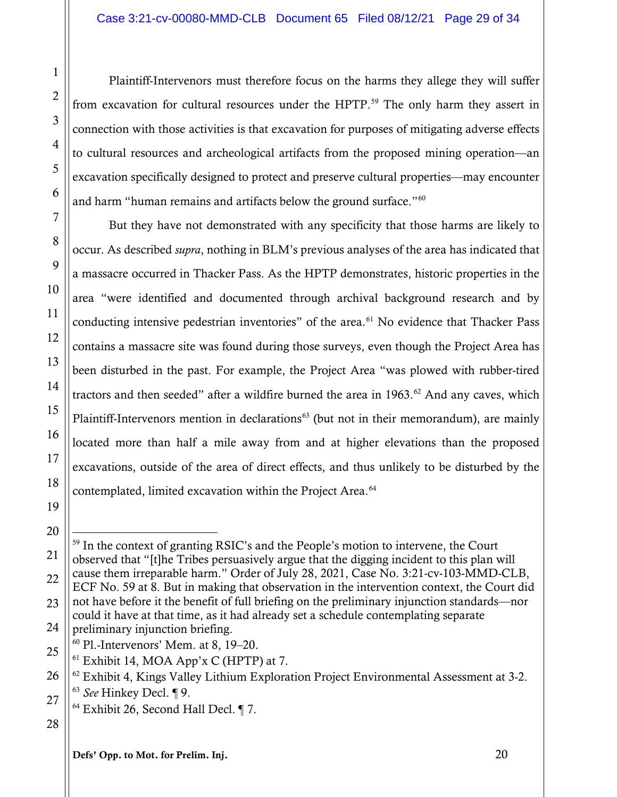Plaintiff-Intervenors must therefore focus on the harms they allege they will suffer from excavation for cultural resources under the HPTP.<sup>[59](#page-28-0)</sup> The only harm they assert in connection with those activities is that excavation for purposes of mitigating adverse effects to cultural resources and archeological artifacts from the proposed mining operation—an excavation specifically designed to protect and preserve cultural properties—may encounter and harm "human remains and artifacts below the ground surface."<sup>[60](#page-28-1)</sup>

But they have not demonstrated with any specificity that those harms are likely to occur. As described *supra*, nothing in BLM's previous analyses of the area has indicated that a massacre occurred in Thacker Pass. As the HPTP demonstrates, historic properties in the area "were identified and documented through archival background research and by conducting intensive pedestrian inventories" of the area.<sup>[61](#page-28-2)</sup> No evidence that Thacker Pass contains a massacre site was found during those surveys, even though the Project Area has been disturbed in the past. For example, the Project Area "was plowed with rubber-tired tractors and then seeded" after a wildfire burned the area in  $1963$ .<sup>[62](#page-28-3)</sup> And any caves, which Plaintiff-Intervenors mention in declarations<sup>[63](#page-28-4)</sup> (but not in their memorandum), are mainly located more than half a mile away from and at higher elevations than the proposed excavations, outside of the area of direct effects, and thus unlikely to be disturbed by the contemplated, limited excavation within the Project Area.<sup>[64](#page-28-5)</sup>

- <sup>60</sup> Pl.-Intervenors' Mem. at 8, 19–20.
- <span id="page-28-2"></span><span id="page-28-1"></span>25  $61$  Exhibit 14, MOA App'x C (HPTP) at 7.

- <sup>64</sup> Exhibit 26, Second Hall Decl. ¶ 7.
- <span id="page-28-5"></span>28

1

2

3

4

5

6

7

8

9

10

11

12

13

14

15

16

17

18

19

<span id="page-28-0"></span><sup>21</sup> 22 23 24  $\overline{a}$ <sup>59</sup> In the context of granting RSIC's and the People's motion to intervene, the Court observed that "[t]he Tribes persuasively argue that the digging incident to this plan will cause them irreparable harm." Order of July 28, 2021, Case No. 3:21-cv-103-MMD-CLB, ECF No. 59 at 8. But in making that observation in the intervention context, the Court did not have before it the benefit of full briefing on the preliminary injunction standards—nor could it have at that time, as it had already set a schedule contemplating separate preliminary injunction briefing.

<span id="page-28-4"></span><span id="page-28-3"></span><sup>26</sup> 27  $62$  Exhibit 4, Kings Valley Lithium Exploration Project Environmental Assessment at 3-2. <sup>63</sup> *See* Hinkey Decl. ¶ 9.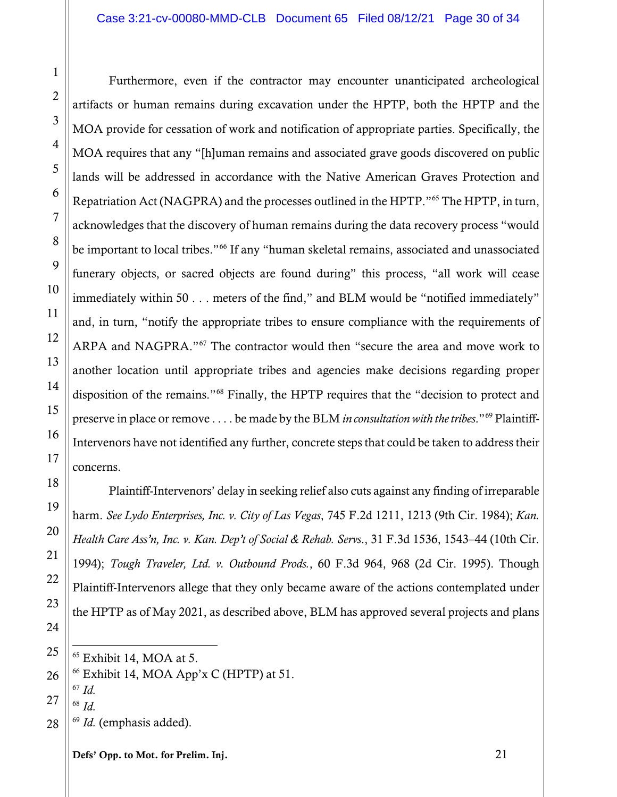Furthermore, even if the contractor may encounter unanticipated archeological artifacts or human remains during excavation under the HPTP, both the HPTP and the MOA provide for cessation of work and notification of appropriate parties. Specifically, the MOA requires that any "[h]uman remains and associated grave goods discovered on public lands will be addressed in accordance with the Native American Graves Protection and Repatriation Act (NAGPRA) and the processes outlined in the HPTP."[65](#page-29-0) The HPTP, in turn, acknowledges that the discovery of human remains during the data recovery process "would be important to local tribes."<sup>[66](#page-29-1)</sup> If any "human skeletal remains, associated and unassociated funerary objects, or sacred objects are found during" this process, "all work will cease immediately within 50 . . . meters of the find," and BLM would be "notified immediately" and, in turn, "notify the appropriate tribes to ensure compliance with the requirements of ARPA and NAGPRA."[67](#page-29-2) The contractor would then "secure the area and move work to another location until appropriate tribes and agencies make decisions regarding proper disposition of the remains."[68](#page-29-3) Finally, the HPTP requires that the "decision to protect and preserve in place or remove . . . . be made by the BLM *in consultation with the tribes*."[69](#page-29-4) Plaintiff-Intervenors have not identified any further, concrete steps that could be taken to address their concerns.

Plaintiff-Intervenors' delay in seeking relief also cuts against any finding of irreparable harm. *See Lydo Enterprises, Inc. v. City of Las Vegas*, 745 F.2d 1211, 1213 (9th Cir. 1984); *Kan. Health Care Ass'n, Inc. v. Kan. Dep't of Social & Rehab. Servs*., 31 F.3d 1536, 1543–44 (10th Cir. 1994); *Tough Traveler, Ltd. v. Outbound Prods.*, 60 F.3d 964, 968 (2d Cir. 1995). Though Plaintiff-Intervenors allege that they only became aware of the actions contemplated under the HPTP as of May 2021, as described above, BLM has approved several projects and plans

<span id="page-29-4"></span><span id="page-29-3"></span><span id="page-29-2"></span><sup>68</sup> *Id.*

<sup>69</sup> *Id.* (emphasis added).

Defs' Opp. to Mot. for Prelim. Inj. 21

1

2

 $\overline{a}$ <sup>65</sup> Exhibit 14, MOA at 5.

<span id="page-29-1"></span><span id="page-29-0"></span> $66$  Exhibit 14, MOA App'x C (HPTP) at 51.

<sup>67</sup> *Id.*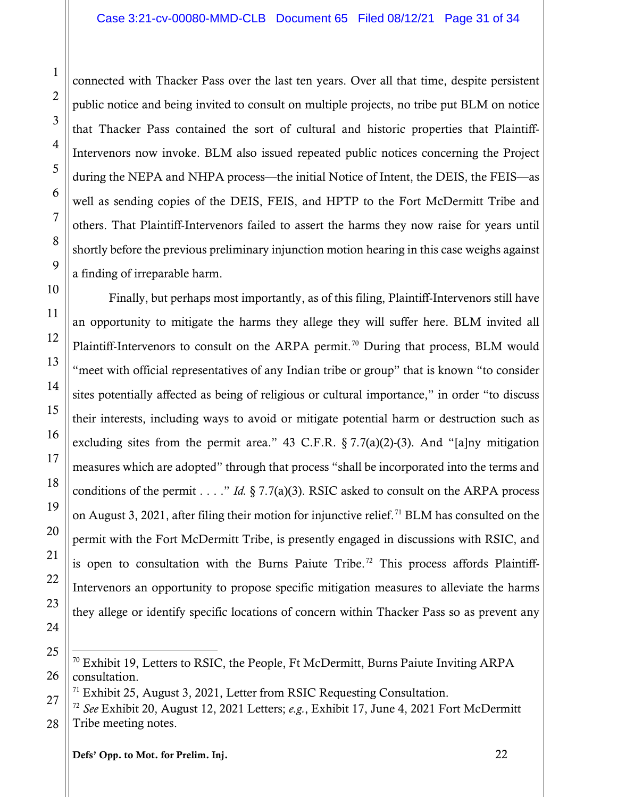connected with Thacker Pass over the last ten years. Over all that time, despite persistent public notice and being invited to consult on multiple projects, no tribe put BLM on notice that Thacker Pass contained the sort of cultural and historic properties that Plaintiff-Intervenors now invoke. BLM also issued repeated public notices concerning the Project during the NEPA and NHPA process—the initial Notice of Intent, the DEIS, the FEIS—as well as sending copies of the DEIS, FEIS, and HPTP to the Fort McDermitt Tribe and others. That Plaintiff-Intervenors failed to assert the harms they now raise for years until shortly before the previous preliminary injunction motion hearing in this case weighs against a finding of irreparable harm.

Finally, but perhaps most importantly, as of this filing, Plaintiff-Intervenors still have an opportunity to mitigate the harms they allege they will suffer here. BLM invited all Plaintiff-Intervenors to consult on the ARPA permit.<sup>[70](#page-30-0)</sup> During that process, BLM would "meet with official representatives of any Indian tribe or group" that is known "to consider sites potentially affected as being of religious or cultural importance," in order "to discuss their interests, including ways to avoid or mitigate potential harm or destruction such as excluding sites from the permit area." 43 C.F.R.  $\S 7.7(a)(2)-(3)$ . And "[a]ny mitigation measures which are adopted" through that process "shall be incorporated into the terms and conditions of the permit . . . ." *Id.* § 7.7(a)(3). RSIC asked to consult on the ARPA process on August 3, 2021, after filing their motion for injunctive relief.<sup>[71](#page-30-1)</sup> BLM has consulted on the permit with the Fort McDermitt Tribe, is presently engaged in discussions with RSIC, and is open to consultation with the Burns Paiute Tribe.<sup>[72](#page-30-2)</sup> This process affords Plaintiff-Intervenors an opportunity to propose specific mitigation measures to alleviate the harms they allege or identify specific locations of concern within Thacker Pass so as prevent any

1

2

3

4

5

6

7

8

9

10

11

12

13

14

15

16

17

18

19

20

21

22

23

24

 $\overline{a}$ 

<span id="page-30-0"></span><sup>25</sup> 26  $70$  Exhibit 19, Letters to RSIC, the People, Ft McDermitt, Burns Paiute Inviting ARPA consultation.

 $71$  Exhibit 25, August 3, 2021, Letter from RSIC Requesting Consultation.

<span id="page-30-2"></span><span id="page-30-1"></span><sup>27</sup> 28 <sup>72</sup> *See* Exhibit 20, August 12, 2021 Letters; *e.g.*, Exhibit 17, June 4, 2021 Fort McDermitt Tribe meeting notes.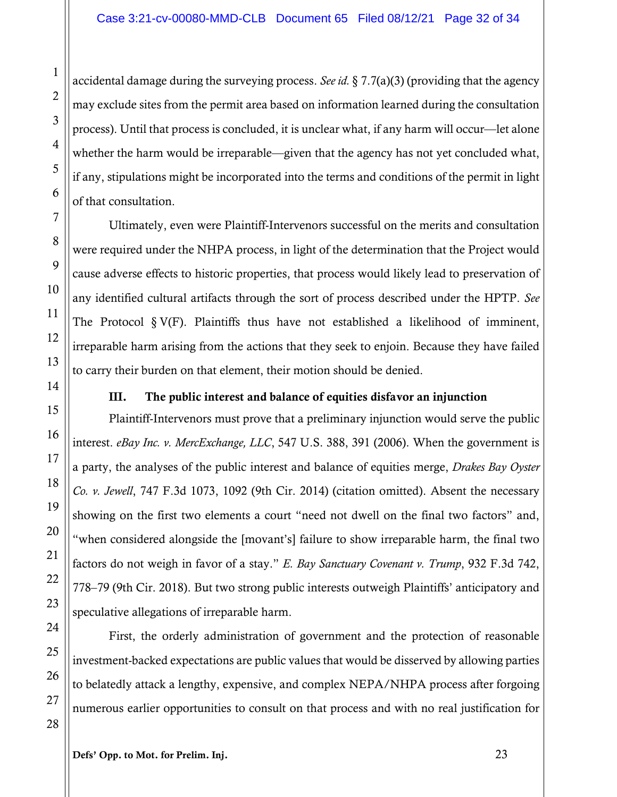accidental damage during the surveying process. *See id.* § 7.7(a)(3) (providing that the agency may exclude sites from the permit area based on information learned during the consultation process). Until that process is concluded, it is unclear what, if any harm will occur—let alone whether the harm would be irreparable—given that the agency has not yet concluded what, if any, stipulations might be incorporated into the terms and conditions of the permit in light of that consultation.

Ultimately, even were Plaintiff-Intervenors successful on the merits and consultation were required under the NHPA process, in light of the determination that the Project would cause adverse effects to historic properties, that process would likely lead to preservation of any identified cultural artifacts through the sort of process described under the HPTP. *See* The Protocol  $\S V(F)$ . Plaintiffs thus have not established a likelihood of imminent, irreparable harm arising from the actions that they seek to enjoin. Because they have failed to carry their burden on that element, their motion should be denied.

#### III. The public interest and balance of equities disfavor an injunction

Plaintiff-Intervenors must prove that a preliminary injunction would serve the public interest. *eBay Inc. v. MercExchange, LLC*, 547 U.S. 388, 391 (2006). When the government is a party, the analyses of the public interest and balance of equities merge, *Drakes Bay Oyster Co. v. Jewell*, 747 F.3d 1073, 1092 (9th Cir. 2014) (citation omitted). Absent the necessary showing on the first two elements a court "need not dwell on the final two factors" and, "when considered alongside the [movant's] failure to show irreparable harm, the final two factors do not weigh in favor of a stay." *E. Bay Sanctuary Covenant v. Trump*, 932 F.3d 742, 778–79 (9th Cir. 2018). But two strong public interests outweigh Plaintiffs' anticipatory and speculative allegations of irreparable harm.

First, the orderly administration of government and the protection of reasonable investment-backed expectations are public values that would be disserved by allowing parties to belatedly attack a lengthy, expensive, and complex NEPA/NHPA process after forgoing numerous earlier opportunities to consult on that process and with no real justification for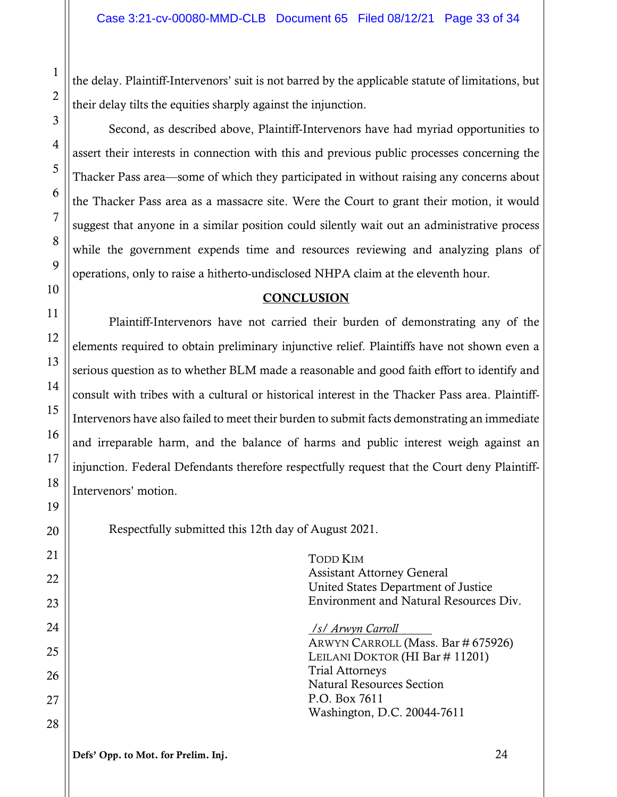the delay. Plaintiff-Intervenors' suit is not barred by the applicable statute of limitations, but their delay tilts the equities sharply against the injunction.

Second, as described above, Plaintiff-Intervenors have had myriad opportunities to assert their interests in connection with this and previous public processes concerning the Thacker Pass area—some of which they participated in without raising any concerns about the Thacker Pass area as a massacre site. Were the Court to grant their motion, it would suggest that anyone in a similar position could silently wait out an administrative process while the government expends time and resources reviewing and analyzing plans of operations, only to raise a hitherto-undisclosed NHPA claim at the eleventh hour.

#### **CONCLUSION**

Plaintiff-Intervenors have not carried their burden of demonstrating any of the elements required to obtain preliminary injunctive relief. Plaintiffs have not shown even a serious question as to whether BLM made a reasonable and good faith effort to identify and consult with tribes with a cultural or historical interest in the Thacker Pass area. Plaintiff-Intervenors have also failed to meet their burden to submit facts demonstrating an immediate and irreparable harm, and the balance of harms and public interest weigh against an injunction. Federal Defendants therefore respectfully request that the Court deny Plaintiff-Intervenors' motion.

Respectfully submitted this 12th day of August 2021.

TODD KIM Assistant Attorney General United States Department of Justice Environment and Natural Resources Div.

*/s/ Arwyn Carroll*  ARWYN CARROLL (Mass. Bar # 675926) LEILANI DOKTOR (HI Bar # 11201) Trial Attorneys Natural Resources Section P.O. Box 7611 Washington, D.C. 20044-7611

1

2

3

4

5

6

7

8

9

10

11

12

13

14

15

16

17

18

19

20

21

22

23

24

25

26

27